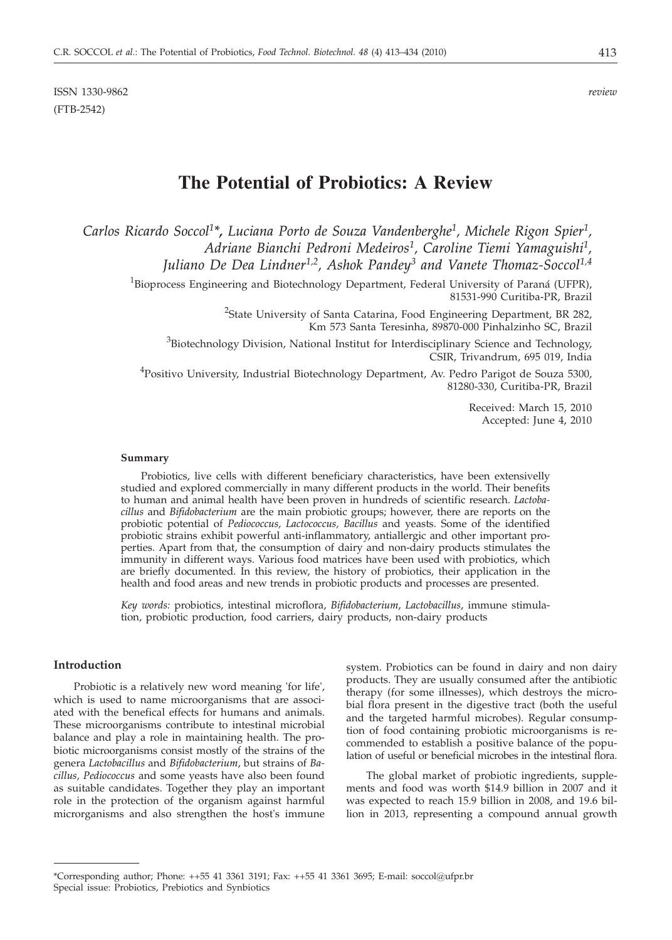ISSN 1330-9862 *review* (FTB-2542)

# **The Potential of Probiotics: A Review**

*Carlos Ricardo Soccol1 \*, Luciana Porto de Souza Vandenberghe1 , Michele Rigon Spier1 , Adriane Bianchi Pedroni Medeiros1, Caroline Tiemi Yamaguishi1, Juliano De Dea Lindner1,2, Ashok Pandey3 and Vanete Thomaz-Soccol1,4*

<sup>1</sup>Bioprocess Engineering and Biotechnology Department, Federal University of Paraná (UFPR), 81531-990 Curitiba-PR, Brazil

> <sup>2</sup>State University of Santa Catarina, Food Engineering Department, BR 282, Km 573 Santa Teresinha, 89870-000 Pinhalzinho SC, Brazil

 ${}^{3}$ Biotechnology Division, National Institut for Interdisciplinary Science and Technology, CSIR, Trivandrum, 695 019, India

<sup>4</sup>Positivo University, Industrial Biotechnology Department, Av. Pedro Parigot de Souza 5300, 81280-330, Curitiba-PR, Brazil

> Received: March 15, 2010 Accepted: June 4, 2010

### **Summary**

Probiotics, live cells with different beneficiary characteristics, have been extensivelly studied and explored commercially in many different products in the world. Their benefits to human and animal health have been proven in hundreds of scientific research. *Lactobacillus* and *Bifidobacterium* are the main probiotic groups; however, there are reports on the probiotic potential of *Pediococcus, Lactococcus, Bacillus* and yeasts. Some of the identified probiotic strains exhibit powerful anti-inflammatory, antiallergic and other important properties. Apart from that, the consumption of dairy and non-dairy products stimulates the immunity in different ways. Various food matrices have been used with probiotics, which are briefly documented. In this review, the history of probiotics, their application in the health and food areas and new trends in probiotic products and processes are presented.

*Key words:* probiotics, intestinal microflora, *Bifidobacterium*, *Lactobacillus*, immune stimulation, probiotic production, food carriers, dairy products, non-dairy products

# **Introduction**

Probiotic is a relatively new word meaning 'for life', which is used to name microorganisms that are associated with the benefical effects for humans and animals. These microorganisms contribute to intestinal microbial balance and play a role in maintaining health. The probiotic microorganisms consist mostly of the strains of the genera *Lactobacillus* and *Bifidobacterium*, but strains of *Bacillus, Pediococcus* and some yeasts have also been found as suitable candidates. Together they play an important role in the protection of the organism against harmful microrganisms and also strengthen the host's immune

system. Probiotics can be found in dairy and non dairy products. They are usually consumed after the antibiotic therapy (for some illnesses), which destroys the microbial flora present in the digestive tract (both the useful and the targeted harmful microbes). Regular consumption of food containing probiotic microorganisms is recommended to establish a positive balance of the population of useful or beneficial microbes in the intestinal flora.

The global market of probiotic ingredients, supplements and food was worth \$14.9 billion in 2007 and it was expected to reach 15.9 billion in 2008, and 19.6 billion in 2013, representing a compound annual growth

<sup>\*</sup>Corresponding author; Phone: ++55 41 3361 3191; Fax: ++55 41 3361 3695; E-mail: soccol@ufpr.br Special issue: Probiotics, Prebiotics and Synbiotics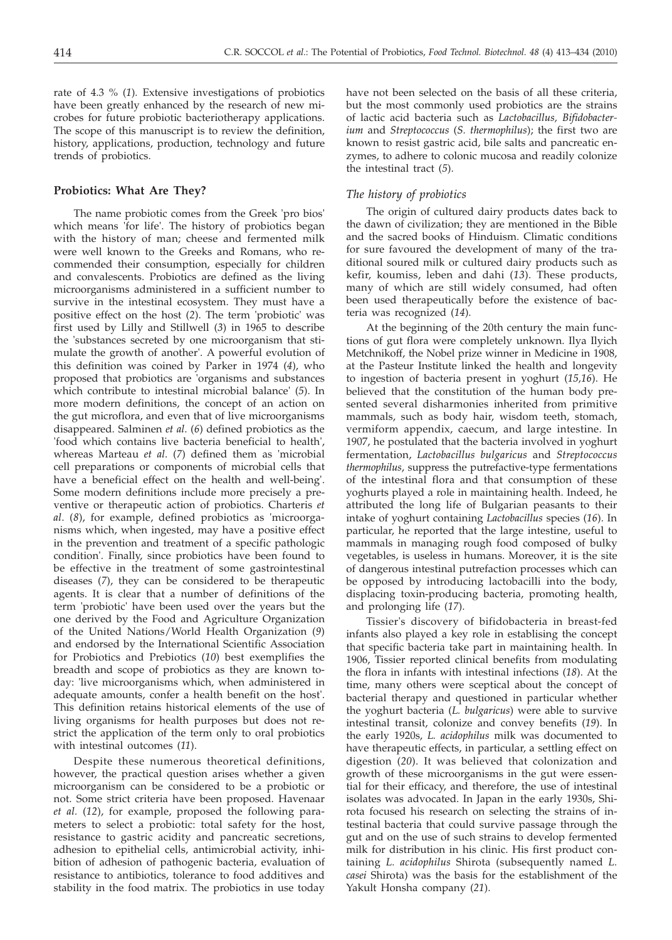rate of 4.3 % (*1*)*.* Extensive investigations of probiotics have been greatly enhanced by the research of new microbes for future probiotic bacteriotherapy applications. The scope of this manuscript is to review the definition, history, applications, production, technology and future trends of probiotics.

# **Probiotics: What Are They?**

The name probiotic comes from the Greek 'pro bios' which means 'for life'. The history of probiotics began with the history of man; cheese and fermented milk were well known to the Greeks and Romans, who recommended their consumption, especially for children and convalescents. Probiotics are defined as the living microorganisms administered in a sufficient number to survive in the intestinal ecosystem. They must have a positive effect on the host (*2*). The term 'probiotic' was first used by Lilly and Stillwell (*3*) in 1965 to describe the 'substances secreted by one microorganism that stimulate the growth of another'. A powerful evolution of this definition was coined by Parker in 1974 (*4*), who proposed that probiotics are 'organisms and substances which contribute to intestinal microbial balance' (*5*). In more modern definitions, the concept of an action on the gut microflora, and even that of live microorganisms disappeared. Salminen *et al*. (*6*) defined probiotics as the 'food which contains live bacteria beneficial to health', whereas Marteau *et al*. (*7*) defined them as 'microbial cell preparations or components of microbial cells that have a beneficial effect on the health and well-being'. Some modern definitions include more precisely a preventive or therapeutic action of probiotics. Charteris *et al*. (*8*), for example, defined probiotics as 'microorganisms which, when ingested, may have a positive effect in the prevention and treatment of a specific pathologic condition'. Finally, since probiotics have been found to be effective in the treatment of some gastrointestinal diseases (*7*), they can be considered to be therapeutic agents. It is clear that a number of definitions of the term 'probiotic' have been used over the years but the one derived by the Food and Agriculture Organization of the United Nations/World Health Organization (*9*) and endorsed by the International Scientific Association for Probiotics and Prebiotics (*10*) best exemplifies the breadth and scope of probiotics as they are known today: 'live microorganisms which, when administered in adequate amounts, confer a health benefit on the host'. This definition retains historical elements of the use of living organisms for health purposes but does not restrict the application of the term only to oral probiotics with intestinal outcomes (*11*).

Despite these numerous theoretical definitions, however, the practical question arises whether a given microorganism can be considered to be a probiotic or not. Some strict criteria have been proposed. Havenaar *et al.* (*12*), for example, proposed the following parameters to select a probiotic: total safety for the host, resistance to gastric acidity and pancreatic secretions, adhesion to epithelial cells, antimicrobial activity, inhibition of adhesion of pathogenic bacteria, evaluation of resistance to antibiotics, tolerance to food additives and stability in the food matrix. The probiotics in use today have not been selected on the basis of all these criteria, but the most commonly used probiotics are the strains of lactic acid bacteria such as *Lactobacillus, Bifidobacterium* and *Streptococcus* (*S. thermophilus*); the first two are known to resist gastric acid, bile salts and pancreatic enzymes, to adhere to colonic mucosa and readily colonize the intestinal tract (*5*).

# *The history of probiotics*

The origin of cultured dairy products dates back to the dawn of civilization; they are mentioned in the Bible and the sacred books of Hinduism. Climatic conditions for sure favoured the development of many of the traditional soured milk or cultured dairy products such as kefir, koumiss, leben and dahi (*13*). These products, many of which are still widely consumed, had often been used therapeutically before the existence of bacteria was recognized (*14*).

At the beginning of the 20th century the main functions of gut flora were completely unknown. Ilya Ilyich Metchnikoff, the Nobel prize winner in Medicine in 1908, at the Pasteur Institute linked the health and longevity to ingestion of bacteria present in yoghurt (*15,16*). He believed that the constitution of the human body presented several disharmonies inherited from primitive mammals, such as body hair, wisdom teeth, stomach, vermiform appendix, caecum, and large intestine. In 1907, he postulated that the bacteria involved in yoghurt fermentation, *Lactobacillus bulgaricus* and *Streptococcus thermophilus*, suppress the putrefactive-type fermentations of the intestinal flora and that consumption of these yoghurts played a role in maintaining health. Indeed, he attributed the long life of Bulgarian peasants to their intake of yoghurt containing *Lactobacillus* species (*16*). In particular, he reported that the large intestine, useful to mammals in managing rough food composed of bulky vegetables, is useless in humans. Moreover, it is the site of dangerous intestinal putrefaction processes which can be opposed by introducing lactobacilli into the body, displacing toxin-producing bacteria, promoting health, and prolonging life (*17*).

Tissier's discovery of bifidobacteria in breast-fed infants also played a key role in establising the concept that specific bacteria take part in maintaining health. In 1906, Tissier reported clinical benefits from modulating the flora in infants with intestinal infections (*18*). At the time, many others were sceptical about the concept of bacterial therapy and questioned in particular whether the yoghurt bacteria (*L. bulgaricus*) were able to survive intestinal transit, colonize and convey benefits (*19*). In the early 1920s, *L. acidophilus* milk was documented to have therapeutic effects, in particular, a settling effect on digestion (*20*). It was believed that colonization and growth of these microorganisms in the gut were essential for their efficacy, and therefore, the use of intestinal isolates was advocated. In Japan in the early 1930s, Shirota focused his research on selecting the strains of intestinal bacteria that could survive passage through the gut and on the use of such strains to develop fermented milk for distribution in his clinic. His first product containing *L. acidophilus* Shirota (subsequently named *L. casei* Shirota) was the basis for the establishment of the Yakult Honsha company (*21*).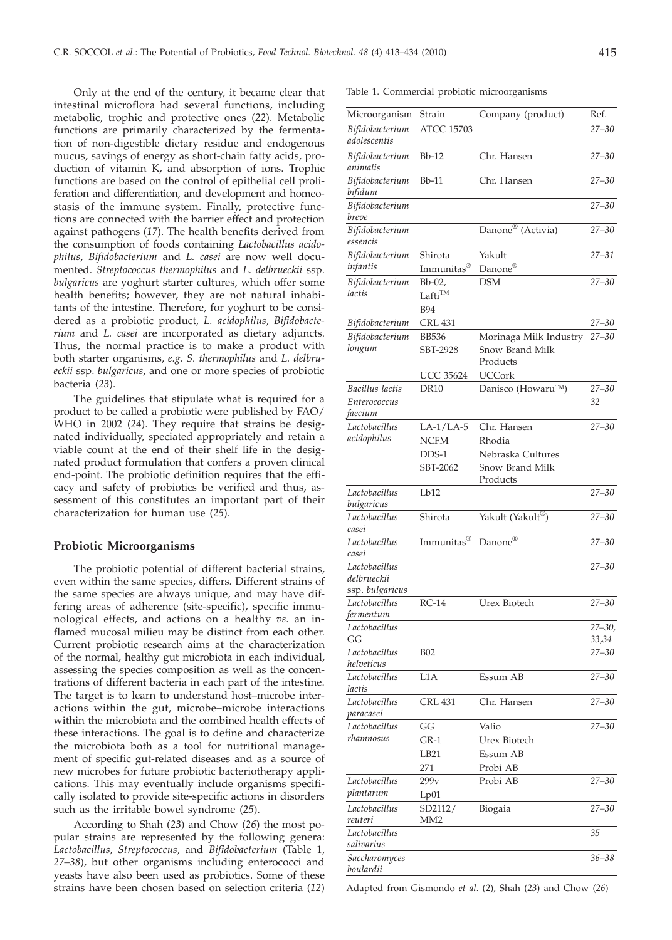Only at the end of the century, it became clear that intestinal microflora had several functions, including metabolic, trophic and protective ones (*22*). Metabolic functions are primarily characterized by the fermentation of non-digestible dietary residue and endogenous mucus, savings of energy as short-chain fatty acids, production of vitamin K, and absorption of ions. Trophic functions are based on the control of epithelial cell proliferation and differentiation, and development and homeostasis of the immune system. Finally, protective functions are connected with the barrier effect and protection against pathogens (*17*). The health benefits derived from the consumption of foods containing *Lactobacillus acidophilus*, *Bifidobacterium* and *L. casei* are now well documented. *Streptococcus thermophilus* and *L. delbrueckii* ssp. *bulgaricus* are yoghurt starter cultures, which offer some health benefits; however, they are not natural inhabitants of the intestine. Therefore, for yoghurt to be considered as a probiotic product, *L. acidophilus*, *Bifidobacterium* and *L. casei* are incorporated as dietary adjuncts. Thus, the normal practice is to make a product with both starter organisms, *e.g. S. thermophilus* and *L. delbrueckii* ssp. *bulgaricus*, and one or more species of probiotic bacteria (*23*).

The guidelines that stipulate what is required for a product to be called a probiotic were published by FAO/ WHO in 2002 (*24*). They require that strains be designated individually, speciated appropriately and retain a viable count at the end of their shelf life in the designated product formulation that confers a proven clinical end-point. The probiotic definition requires that the efficacy and safety of probiotics be verified and thus, assessment of this constitutes an important part of their characterization for human use (*25*).

# **Probiotic Microorganisms**

The probiotic potential of different bacterial strains, even within the same species, differs. Different strains of the same species are always unique, and may have differing areas of adherence (site-specific), specific immunological effects, and actions on a healthy *vs.* an inflamed mucosal milieu may be distinct from each other. Current probiotic research aims at the characterization of the normal, healthy gut microbiota in each individual, assessing the species composition as well as the concentrations of different bacteria in each part of the intestine. The target is to learn to understand host–microbe interactions within the gut, microbe–microbe interactions within the microbiota and the combined health effects of these interactions. The goal is to define and characterize the microbiota both as a tool for nutritional management of specific gut-related diseases and as a source of new microbes for future probiotic bacteriotherapy applications. This may eventually include organisms specifically isolated to provide site-specific actions in disorders such as the irritable bowel syndrome (*25*).

According to Shah (*23*) and Chow (*26*) the most popular strains are represented by the following genera: *Lactobacillus, Streptococcus*, and *Bifidobacterium* (Table 1, *27–38*), but other organisms including enterococci and yeasts have also been used as probiotics. Some of these strains have been chosen based on selection criteria (*12*) Table 1. Commercial probiotic microorganisms

| Microorganism                | Strain                 | Company (product)             | Ref.                 |
|------------------------------|------------------------|-------------------------------|----------------------|
| Bifidobacterium              | <b>ATCC 15703</b>      |                               | $27 - 30$            |
| adolescentis                 |                        |                               |                      |
| Bifidobacterium<br>animalis  | $Bb-12$                | Chr. Hansen                   | $27 - 30$            |
| Bifidobacterium<br>bifidum   | $Bb-11$                | Chr. Hansen                   | $27 - 30$            |
| Bifidobacterium              |                        |                               | $27 - 30$            |
| breve                        |                        | Danone <sup>®</sup> (Activia) |                      |
| Bifidobacterium<br>essencis  |                        |                               | $27 - 30$            |
| <b>Bifidobacterium</b>       | Shirota                | Yakult                        | $27 - 31$            |
| infantis                     | Immunitas <sup>®</sup> | Danone <sup>®</sup>           |                      |
| Bifidobacterium              | Bb-02,                 | <b>DSM</b>                    | $27 - 30$            |
| lactis                       | $Laffi^{TM}$           |                               |                      |
|                              | <b>B94</b>             |                               |                      |
| Bifidobacterium              | <b>CRL 431</b>         |                               | $27 - 30$            |
| Bifidobacterium              | <b>BB536</b>           | Morinaga Milk Industry        | $27 - 30$            |
| longum                       | SBT-2928               | Snow Brand Milk               |                      |
|                              |                        | Products                      |                      |
|                              | <b>UCC 35624</b>       | UCCork                        |                      |
| Bacillus lactis              | <b>DR10</b>            | Danisco (Howaru™)             | $27 - 30$            |
| Enterococcus                 |                        |                               | 32                   |
| faecium                      |                        |                               |                      |
| Lactobacillus                | $LA-1/LA-5$            | Chr. Hansen                   | $27 - 30$            |
| acidophilus                  | <b>NCFM</b>            | Rhodia                        |                      |
|                              | $DDS-1$                | Nebraska Cultures             |                      |
|                              | SBT-2062               | Snow Brand Milk               |                      |
|                              |                        | Products                      |                      |
| Lactobacillus<br>bulgaricus  | Lb12                   |                               | $27 - 30$            |
| Lactobacillus<br>casei       | Shirota                | Yakult (Yakult®)              | $27 - 30$            |
| Lactobacillus<br>casei       | Immunitas <sup>®</sup> | Danone <sup>®</sup>           | $27 - 30$            |
| Lactobacillus<br>delbrueckii |                        |                               | $27 - 30$            |
| ssp. bulgaricus              |                        |                               |                      |
| Lactobacillus                | $RC-14$                | <b>Urex Biotech</b>           | $27 - 30$            |
| fermentum                    |                        |                               |                      |
| Lactobacillus<br>GG          |                        |                               | $27 - 30$ ,<br>33,34 |
| Lactobacillus                | <b>B02</b>             |                               | $27 - 30$            |
| helveticus                   |                        |                               |                      |
| Lactobacillus<br>lactis      | L1A                    | Essum AB                      | $27 - 30$            |
| Lactobacillus<br>paracasei   | CRL 431                | Chr. Hansen                   | $27 - 30$            |
| Lactobacillus                | GG                     | Valio                         | $27 - 30$            |
| rhamnosus                    | GR-1                   | Urex Biotech                  |                      |
|                              | LB <sub>21</sub>       | Essum AB                      |                      |
|                              | 271                    | Probi AB                      |                      |
| Lactobacillus                | 299v                   | Probi AB                      | $27 - 30$            |
| plantarum                    | Lp01                   |                               |                      |
| Lactobacillus                | SD2112/                | Biogaia                       | $27 - 30$            |
| reuteri                      | MM <sub>2</sub>        |                               |                      |
| Lactobacillus<br>salivarius  |                        |                               | 35                   |
| Saccharomyces<br>boulardii   |                        |                               | $36 - 38$            |

Adapted from Gismondo *et al*. (*2*), Shah (*23*) and Chow (*26*)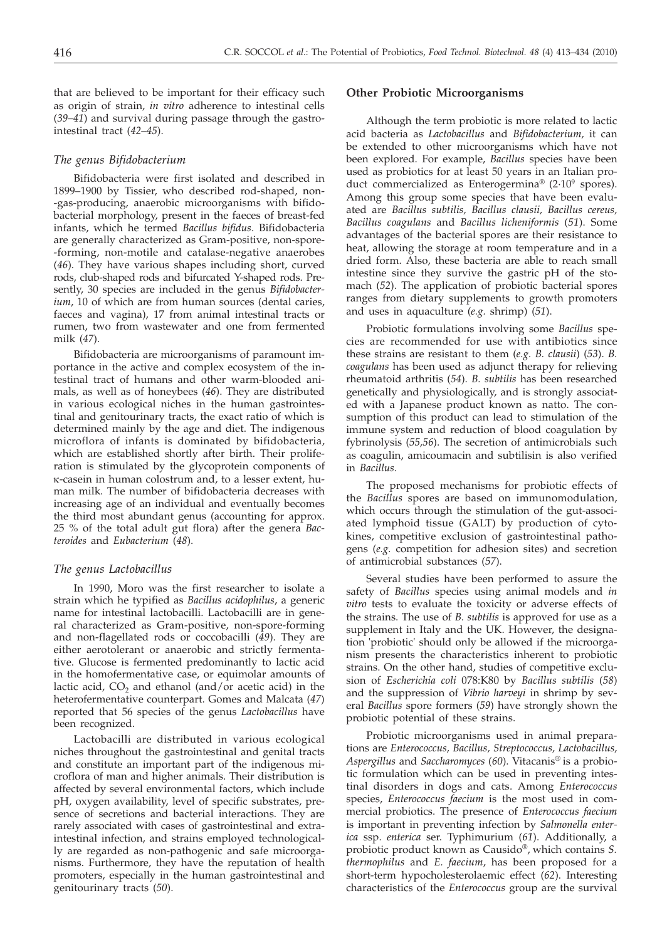that are believed to be important for their efficacy such as origin of strain, *in vitro* adherence to intestinal cells (*39–41*) and survival during passage through the gastrointestinal tract (*42–45*).

# *The genus Bifidobacterium*

Bifidobacteria were first isolated and described in 1899–1900 by Tissier, who described rod-shaped, non- -gas-producing, anaerobic microorganisms with bifidobacterial morphology, present in the faeces of breast-fed infants, which he termed *Bacillus bifidus*. Bifidobacteria are generally characterized as Gram-positive, non-spore- -forming, non-motile and catalase-negative anaerobes (*46*). They have various shapes including short, curved rods, club-shaped rods and bifurcated Y-shaped rods. Presently, 30 species are included in the genus *Bifidobacterium*, 10 of which are from human sources (dental caries, faeces and vagina), 17 from animal intestinal tracts or rumen, two from wastewater and one from fermented milk (*47*).

Bifidobacteria are microorganisms of paramount importance in the active and complex ecosystem of the intestinal tract of humans and other warm-blooded animals, as well as of honeybees (*46*). They are distributed in various ecological niches in the human gastrointestinal and genitourinary tracts, the exact ratio of which is determined mainly by the age and diet. The indigenous microflora of infants is dominated by bifidobacteria, which are established shortly after birth. Their proliferation is stimulated by the glycoprotein components of k-casein in human colostrum and, to a lesser extent, human milk. The number of bifidobacteria decreases with increasing age of an individual and eventually becomes the third most abundant genus (accounting for approx. 25 % of the total adult gut flora) after the genera *Bacteroides* and *Eubacterium* (*48*).

#### *The genus Lactobacillus*

In 1990, Moro was the first researcher to isolate a strain which he typified as *Bacillus acidophilus*, a generic name for intestinal lactobacilli. Lactobacilli are in general characterized as Gram-positive, non-spore-forming and non-flagellated rods or coccobacilli (*49*). They are either aerotolerant or anaerobic and strictly fermentative. Glucose is fermented predominantly to lactic acid in the homofermentative case, or equimolar amounts of lactic acid,  $CO<sub>2</sub>$  and ethanol (and/or acetic acid) in the heterofermentative counterpart. Gomes and Malcata (*47*) reported that 56 species of the genus *Lactobacillus* have been recognized.

Lactobacilli are distributed in various ecological niches throughout the gastrointestinal and genital tracts and constitute an important part of the indigenous microflora of man and higher animals. Their distribution is affected by several environmental factors, which include pH, oxygen availability, level of specific substrates, presence of secretions and bacterial interactions. They are rarely associated with cases of gastrointestinal and extraintestinal infection, and strains employed technologically are regarded as non-pathogenic and safe microorganisms. Furthermore, they have the reputation of health promoters, especially in the human gastrointestinal and genitourinary tracts (*50*).

# **Other Probiotic Microorganisms**

Although the term probiotic is more related to lactic acid bacteria as *Lactobacillus* and *Bifidobacterium,* it can be extended to other microorganisms which have not been explored. For example, *Bacillus* species have been used as probiotics for at least 50 years in an Italian product commercialized as Enterogermina<sup>®</sup> (2·10<sup>9</sup> spores). Among this group some species that have been evaluated are *Bacillus subtilis, Bacillus clausii, Bacillus cereus, Bacillus coagulans* and *Bacillus licheniformis* (*51*). Some advantages of the bacterial spores are their resistance to heat, allowing the storage at room temperature and in a dried form. Also, these bacteria are able to reach small intestine since they survive the gastric pH of the stomach (*52*). The application of probiotic bacterial spores ranges from dietary supplements to growth promoters and uses in aquaculture (*e.g.* shrimp) (*51*).

Probiotic formulations involving some *Bacillus* species are recommended for use with antibiotics since these strains are resistant to them (*e.g. B. clausii*) (*53*). *B. coagulans* has been used as adjunct therapy for relieving rheumatoid arthritis (*54*). *B. subtilis* has been researched genetically and physiologically, and is strongly associated with a Japanese product known as natto. The consumption of this product can lead to stimulation of the immune system and reduction of blood coagulation by fybrinolysis (*55,56*). The secretion of antimicrobials such as coagulin, amicoumacin and subtilisin is also verified in *Bacillus*.

The proposed mechanisms for probiotic effects of the *Bacillus* spores are based on immunomodulation, which occurs through the stimulation of the gut-associated lymphoid tissue (GALT) by production of cytokines, competitive exclusion of gastrointestinal pathogens (*e.g.* competition for adhesion sites) and secretion of antimicrobial substances (*57*).

Several studies have been performed to assure the safety of *Bacillus* species using animal models and *in vitro* tests to evaluate the toxicity or adverse effects of the strains. The use of *B. subtilis* is approved for use as a supplement in Italy and the UK. However, the designation 'probiotic' should only be allowed if the microorganism presents the characteristics inherent to probiotic strains. On the other hand, studies of competitive exclusion of *Escherichia coli* 078:K80 by *Bacillus subtilis* (*58*) and the suppression of *Vibrio harveyi* in shrimp by several *Bacillus* spore formers (*59*) have strongly shown the probiotic potential of these strains.

Probiotic microorganisms used in animal preparations are *Enterococcus, Bacillus, Streptococcus, Lactobacillus, Aspergillus* and *Saccharomyces* (*60*). Vitacanis® is a probiotic formulation which can be used in preventing intestinal disorders in dogs and cats. Among *Enterococcus* species, *Enterococcus faecium* is the most used in commercial probiotics. The presence of *Enterococcus faecium* is important in preventing infection by *Salmonella enterica* ssp. *enterica* ser. Typhimurium (*61*). Additionally, a probiotic product known as Causido®, which contains *S. thermophilus* and *E. faecium*, has been proposed for a short-term hypocholesterolaemic effect (*62*). Interesting characteristics of the *Enterococcus* group are the survival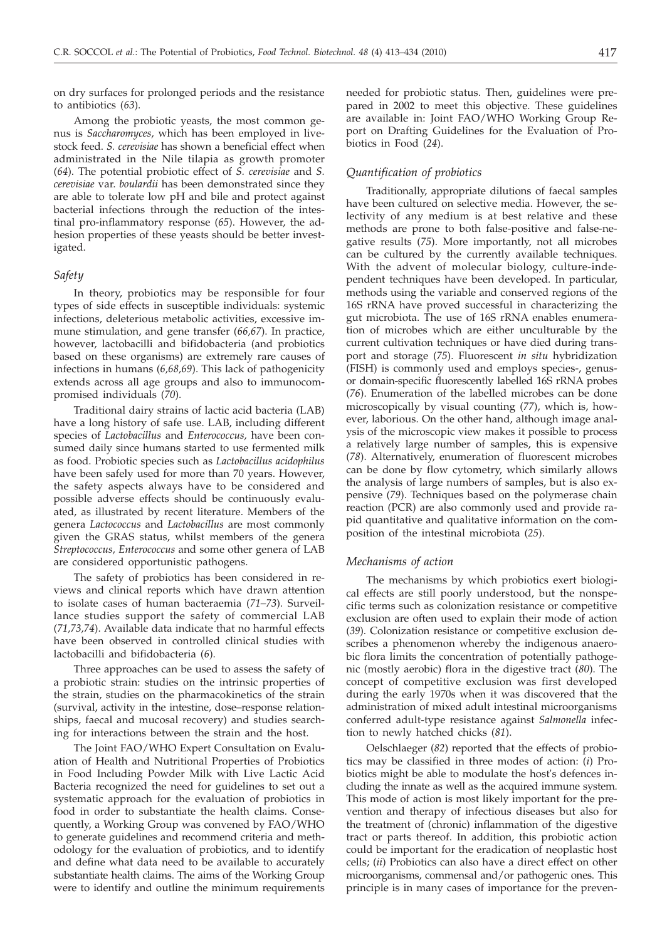on dry surfaces for prolonged periods and the resistance to antibiotics (*63*).

Among the probiotic yeasts, the most common genus is *Saccharomyces*, which has been employed in livestock feed. *S. cerevisiae* has shown a beneficial effect when administrated in the Nile tilapia as growth promoter (*64*). The potential probiotic effect of *S. cerevisiae* and *S. cerevisiae* var. *boulardii* has been demonstrated since they are able to tolerate low pH and bile and protect against bacterial infections through the reduction of the intestinal pro-inflammatory response (*65*). However, the adhesion properties of these yeasts should be better investigated.

### *Safety*

In theory, probiotics may be responsible for four types of side effects in susceptible individuals: systemic infections, deleterious metabolic activities, excessive immune stimulation, and gene transfer (*66,67*). In practice, however, lactobacilli and bifidobacteria (and probiotics based on these organisms) are extremely rare causes of infections in humans (*6,68,69*). This lack of pathogenicity extends across all age groups and also to immunocompromised individuals (*70*).

Traditional dairy strains of lactic acid bacteria (LAB) have a long history of safe use. LAB, including different species of *Lactobacillus* and *Enterococcus,* have been consumed daily since humans started to use fermented milk as food. Probiotic species such as *Lactobacillus acidophilus* have been safely used for more than 70 years. However, the safety aspects always have to be considered and possible adverse effects should be continuously evaluated, as illustrated by recent literature. Members of the genera *Lactococcus* and *Lactobacillus* are most commonly given the GRAS status, whilst members of the genera *Streptococcus, Enterococcus* and some other genera of LAB are considered opportunistic pathogens.

The safety of probiotics has been considered in reviews and clinical reports which have drawn attention to isolate cases of human bacteraemia (*71–73*). Surveillance studies support the safety of commercial LAB (*71,73,74*). Available data indicate that no harmful effects have been observed in controlled clinical studies with lactobacilli and bifidobacteria (*6*).

Three approaches can be used to assess the safety of a probiotic strain: studies on the intrinsic properties of the strain, studies on the pharmacokinetics of the strain (survival, activity in the intestine, dose–response relationships, faecal and mucosal recovery) and studies searching for interactions between the strain and the host.

The Joint FAO/WHO Expert Consultation on Evaluation of Health and Nutritional Properties of Probiotics in Food Including Powder Milk with Live Lactic Acid Bacteria recognized the need for guidelines to set out a systematic approach for the evaluation of probiotics in food in order to substantiate the health claims. Consequently, a Working Group was convened by FAO/WHO to generate guidelines and recommend criteria and methodology for the evaluation of probiotics, and to identify and define what data need to be available to accurately substantiate health claims. The aims of the Working Group were to identify and outline the minimum requirements needed for probiotic status. Then, guidelines were prepared in 2002 to meet this objective. These guidelines are available in: Joint FAO/WHO Working Group Report on Drafting Guidelines for the Evaluation of Probiotics in Food (*24*).

# *Quantification of probiotics*

Traditionally, appropriate dilutions of faecal samples have been cultured on selective media. However, the selectivity of any medium is at best relative and these methods are prone to both false-positive and false-negative results (*75*). More importantly, not all microbes can be cultured by the currently available techniques. With the advent of molecular biology, culture-independent techniques have been developed. In particular, methods using the variable and conserved regions of the 16S rRNA have proved successful in characterizing the gut microbiota. The use of 16S rRNA enables enumeration of microbes which are either unculturable by the current cultivation techniques or have died during transport and storage (*75*). Fluorescent *in situ* hybridization (FISH) is commonly used and employs species-, genusor domain-specific fluorescently labelled 16S rRNA probes (*76*). Enumeration of the labelled microbes can be done microscopically by visual counting (*77*), which is, however, laborious. On the other hand, although image analysis of the microscopic view makes it possible to process a relatively large number of samples, this is expensive (*78*). Alternatively, enumeration of fluorescent microbes can be done by flow cytometry, which similarly allows the analysis of large numbers of samples, but is also expensive (*79*). Techniques based on the polymerase chain reaction (PCR) are also commonly used and provide rapid quantitative and qualitative information on the composition of the intestinal microbiota (*25*).

# *Mechanisms of action*

The mechanisms by which probiotics exert biological effects are still poorly understood, but the nonspecific terms such as colonization resistance or competitive exclusion are often used to explain their mode of action (*39*). Colonization resistance or competitive exclusion describes a phenomenon whereby the indigenous anaerobic flora limits the concentration of potentially pathogenic (mostly aerobic) flora in the digestive tract (*80*). The concept of competitive exclusion was first developed during the early 1970s when it was discovered that the administration of mixed adult intestinal microorganisms conferred adult-type resistance against *Salmonella* infection to newly hatched chicks (*81*).

Oelschlaeger (*82*) reported that the effects of probiotics may be classified in three modes of action: (*i*) Probiotics might be able to modulate the host's defences including the innate as well as the acquired immune system. This mode of action is most likely important for the prevention and therapy of infectious diseases but also for the treatment of (chronic) inflammation of the digestive tract or parts thereof. In addition, this probiotic action could be important for the eradication of neoplastic host cells; (*ii*) Probiotics can also have a direct effect on other microorganisms, commensal and/or pathogenic ones. This principle is in many cases of importance for the preven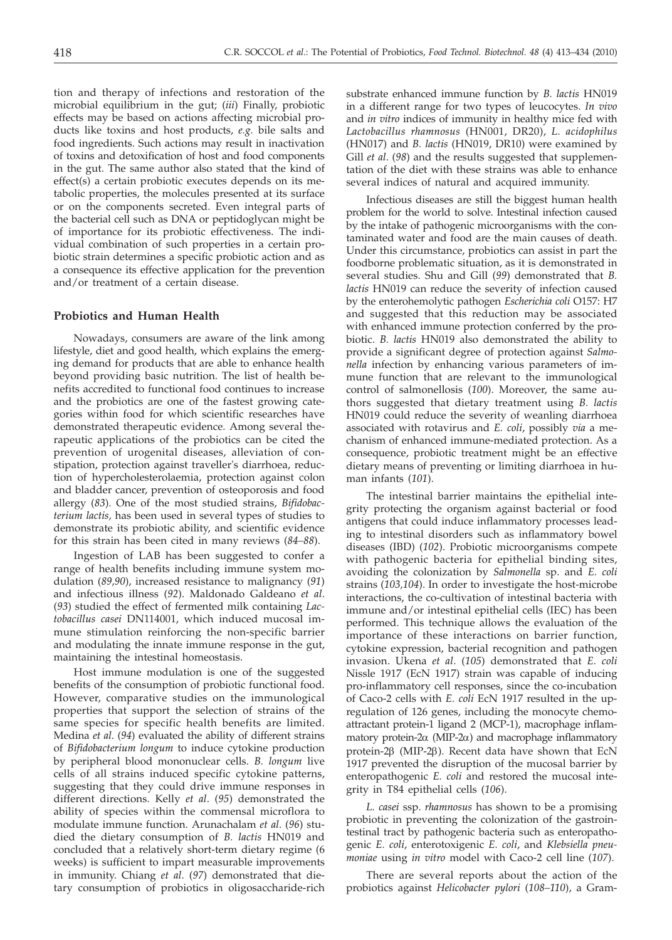tion and therapy of infections and restoration of the microbial equilibrium in the gut; (*iii*) Finally, probiotic effects may be based on actions affecting microbial products like toxins and host products, *e.g.* bile salts and food ingredients. Such actions may result in inactivation of toxins and detoxification of host and food components in the gut. The same author also stated that the kind of effect(s) a certain probiotic executes depends on its metabolic properties, the molecules presented at its surface or on the components secreted. Even integral parts of the bacterial cell such as DNA or peptidoglycan might be of importance for its probiotic effectiveness. The individual combination of such properties in a certain probiotic strain determines a specific probiotic action and as a consequence its effective application for the prevention and/or treatment of a certain disease.

# **Probiotics and Human Health**

Nowadays, consumers are aware of the link among lifestyle, diet and good health, which explains the emerging demand for products that are able to enhance health beyond providing basic nutrition. The list of health benefits accredited to functional food continues to increase and the probiotics are one of the fastest growing categories within food for which scientific researches have demonstrated therapeutic evidence. Among several therapeutic applications of the probiotics can be cited the prevention of urogenital diseases, alleviation of constipation, protection against traveller's diarrhoea, reduction of hypercholesterolaemia, protection against colon and bladder cancer, prevention of osteoporosis and food allergy (*83*). One of the most studied strains, *Bifidobacterium lactis,* has been used in several types of studies to demonstrate its probiotic ability, and scientific evidence for this strain has been cited in many reviews (*84–88*).

Ingestion of LAB has been suggested to confer a range of health benefits including immune system modulation (*89,90*), increased resistance to malignancy (*91*) and infectious illness (*92*). Maldonado Galdeano *et al*. (*93*) studied the effect of fermented milk containing *Lactobacillus casei* DN114001, which induced mucosal immune stimulation reinforcing the non-specific barrier and modulating the innate immune response in the gut, maintaining the intestinal homeostasis.

Host immune modulation is one of the suggested benefits of the consumption of probiotic functional food. However, comparative studies on the immunological properties that support the selection of strains of the same species for specific health benefits are limited. Medina *et al*. (*94*) evaluated the ability of different strains of *Bifidobacterium longum* to induce cytokine production by peripheral blood mononuclear cells. *B. longum* live cells of all strains induced specific cytokine patterns, suggesting that they could drive immune responses in different directions. Kelly *et al*. (*95*) demonstrated the ability of species within the commensal microflora to modulate immune function. Arunachalam *et al*. (*96*) studied the dietary consumption of *B. lactis* HN019 and concluded that a relatively short-term dietary regime (6 weeks) is sufficient to impart measurable improvements in immunity. Chiang *et al*. (*97*) demonstrated that dietary consumption of probiotics in oligosaccharide-rich

substrate enhanced immune function by *B. lactis* HN019 in a different range for two types of leucocytes. *In vivo* and *in vitro* indices of immunity in healthy mice fed with *Lactobacillus rhamnosus* (HN001, DR20), *L. acidophilus* (HN017) and *B. lactis* (HN019, DR10) were examined by Gill *et al*. (*98*) and the results suggested that supplementation of the diet with these strains was able to enhance several indices of natural and acquired immunity.

Infectious diseases are still the biggest human health problem for the world to solve. Intestinal infection caused by the intake of pathogenic microorganisms with the contaminated water and food are the main causes of death. Under this circumstance, probiotics can assist in part the foodborne problematic situation, as it is demonstrated in several studies. Shu and Gill (*99*) demonstrated that *B. lactis* HN019 can reduce the severity of infection caused by the enterohemolytic pathogen *Escherichia coli* O157: H7 and suggested that this reduction may be associated with enhanced immune protection conferred by the probiotic. *B. lactis* HN019 also demonstrated the ability to provide a significant degree of protection against *Salmonella* infection by enhancing various parameters of immune function that are relevant to the immunological control of salmonellosis (*100*). Moreover, the same authors suggested that dietary treatment using *B. lactis* HN019 could reduce the severity of weanling diarrhoea associated with rotavirus and *E. coli*, possibly *via* a mechanism of enhanced immune-mediated protection. As a consequence, probiotic treatment might be an effective dietary means of preventing or limiting diarrhoea in human infants (*101*).

The intestinal barrier maintains the epithelial integrity protecting the organism against bacterial or food antigens that could induce inflammatory processes leading to intestinal disorders such as inflammatory bowel diseases (IBD) (*102*). Probiotic microorganisms compete with pathogenic bacteria for epithelial binding sites, avoiding the colonization by *Salmonella* sp. and *E. coli* strains (*103,104*). In order to investigate the host-microbe interactions, the co-cultivation of intestinal bacteria with immune and/or intestinal epithelial cells (IEC) has been performed. This technique allows the evaluation of the importance of these interactions on barrier function, cytokine expression, bacterial recognition and pathogen invasion. Ukena *et al*. (*105*) demonstrated that *E. coli* Nissle 1917 (EcN 1917) strain was capable of inducing pro-inflammatory cell responses, since the co-incubation of Caco-2 cells with *E. coli* EcN 1917 resulted in the upregulation of 126 genes, including the monocyte chemoattractant protein-1 ligand 2 (MCP-1), macrophage inflammatory protein- $2\alpha$  (MIP- $2\alpha$ ) and macrophage inflammatory protein-2 $\beta$  (MIP-2 $\beta$ ). Recent data have shown that EcN 1917 prevented the disruption of the mucosal barrier by enteropathogenic *E. coli* and restored the mucosal integrity in T84 epithelial cells (*106*).

*L. casei* ssp. *rhamnosus* has shown to be a promising probiotic in preventing the colonization of the gastrointestinal tract by pathogenic bacteria such as enteropathogenic *E. coli*, enterotoxigenic *E. coli*, and *Klebsiella pneumoniae* using *in vitro* model with Caco-2 cell line (*107*).

There are several reports about the action of the probiotics against *Helicobacter pylori* (*108–110*), a Gram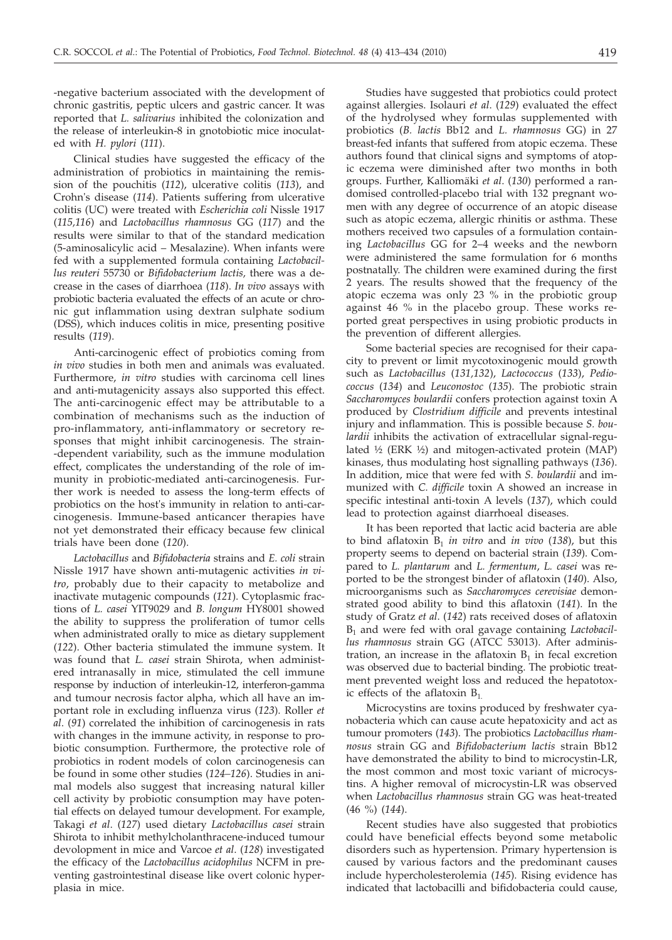-negative bacterium associated with the development of chronic gastritis, peptic ulcers and gastric cancer. It was reported that *L. salivarius* inhibited the colonization and the release of interleukin-8 in gnotobiotic mice inoculated with *H. pylori* (*111*).

Clinical studies have suggested the efficacy of the administration of probiotics in maintaining the remission of the pouchitis (*112*), ulcerative colitis (*113*), and Crohn's disease (*114*). Patients suffering from ulcerative colitis (UC) were treated with *Escherichia coli* Nissle 1917 (*115,116*) and *Lactobacillus rhamnosus* GG (*117*) and the results were similar to that of the standard medication (5-aminosalicylic acid – Mesalazine). When infants were fed with a supplemented formula containing *Lactobacillus reuteri* 55730 or *Bifidobacterium lactis,* there was a decrease in the cases of diarrhoea (*118*). *In vivo* assays with probiotic bacteria evaluated the effects of an acute or chronic gut inflammation using dextran sulphate sodium (DSS), which induces colitis in mice, presenting positive results (*119*).

Anti-carcinogenic effect of probiotics coming from *in vivo* studies in both men and animals was evaluated. Furthermore, *in vitro* studies with carcinoma cell lines and anti-mutagenicity assays also supported this effect. The anti-carcinogenic effect may be attributable to a combination of mechanisms such as the induction of pro-inflammatory, anti-inflammatory or secretory responses that might inhibit carcinogenesis. The strain- -dependent variability, such as the immune modulation effect, complicates the understanding of the role of immunity in probiotic-mediated anti-carcinogenesis. Further work is needed to assess the long-term effects of probiotics on the host's immunity in relation to anti-carcinogenesis. Immune-based anticancer therapies have not yet demonstrated their efficacy because few clinical trials have been done (*120*).

*Lactobacillus* and *Bifidobacteria* strains and *E. coli* strain Nissle 1917 have shown anti-mutagenic activities *in vitro*, probably due to their capacity to metabolize and inactivate mutagenic compounds (*121*). Cytoplasmic fractions of *L. casei* YIT9029 and *B. longum* HY8001 showed the ability to suppress the proliferation of tumor cells when administrated orally to mice as dietary supplement (*122*). Other bacteria stimulated the immune system. It was found that *L. casei* strain Shirota, when administered intranasally in mice, stimulated the cell immune response by induction of interleukin-12, interferon-gamma and tumour necrosis factor alpha, which all have an important role in excluding influenza virus (*123*). Roller *et al*. (*91*) correlated the inhibition of carcinogenesis in rats with changes in the immune activity, in response to probiotic consumption. Furthermore, the protective role of probiotics in rodent models of colon carcinogenesis can be found in some other studies (*124–126*). Studies in animal models also suggest that increasing natural killer cell activity by probiotic consumption may have potential effects on delayed tumour development. For example, Takagi *et al*. (*127*) used dietary *Lactobacillus casei* strain Shirota to inhibit methylcholanthracene-induced tumour devolopment in mice and Varcoe *et al*. (*128*) investigated the efficacy of the *Lactobacillus acidophilus* NCFM in preventing gastrointestinal disease like overt colonic hyperplasia in mice.

Studies have suggested that probiotics could protect against allergies. Isolauri *et al*. (*129*) evaluated the effect of the hydrolysed whey formulas supplemented with probiotics (*B. lactis* Bb12 and *L. rhamnosus* GG) in 27 breast-fed infants that suffered from atopic eczema. These authors found that clinical signs and symptoms of atopic eczema were diminished after two months in both groups. Further, Kalliomäki *et al*. (*130*) performed a randomised controlled-placebo trial with 132 pregnant women with any degree of occurrence of an atopic disease such as atopic eczema, allergic rhinitis or asthma. These mothers received two capsules of a formulation containing *Lactobacillus* GG for 2–4 weeks and the newborn were administered the same formulation for 6 months postnatally. The children were examined during the first 2 years. The results showed that the frequency of the atopic eczema was only 23 % in the probiotic group against 46 % in the placebo group. These works reported great perspectives in using probiotic products in the prevention of different allergies.

Some bacterial species are recognised for their capacity to prevent or limit mycotoxinogenic mould growth such as *Lactobacillus* (*131,132*), *Lactococcus* (*133*), *Pediococcus* (*134*) and *Leuconostoc* (*135*). The probiotic strain *Saccharomyces boulardii* confers protection against toxin A produced by *Clostridium difficile* and prevents intestinal injury and inflammation. This is possible because *S. boulardii* inhibits the activation of extracellular signal-regulated ½ (ERK ½) and mitogen-activated protein (MAP) kinases, thus modulating host signalling pathways (*136*). In addition, mice that were fed with *S. boulardii* and immunized with *C. difficile* toxin A showed an increase in specific intestinal anti-toxin A levels (*137*), which could lead to protection against diarrhoeal diseases.

It has been reported that lactic acid bacteria are able to bind aflatoxin  $B_1$  *in vitro* and *in vivo* (138), but this property seems to depend on bacterial strain (*139*). Compared to *L. plantarum* and *L. fermentum*, *L. casei* was reported to be the strongest binder of aflatoxin (*140*). Also, microorganisms such as *Saccharomyces cerevisiae* demonstrated good ability to bind this aflatoxin (*141*). In the study of Gratz *et al*. (*142*) rats received doses of aflatoxin B1 and were fed with oral gavage containing *Lactobacillus rhamnosus* strain GG (ATCC 53013). After administration, an increase in the aflatoxin  $B_1$  in fecal excretion was observed due to bacterial binding. The probiotic treatment prevented weight loss and reduced the hepatotoxic effects of the aflatoxin  $B_1$ .

Microcystins are toxins produced by freshwater cyanobacteria which can cause acute hepatoxicity and act as tumour promoters (*143*). The probiotics *Lactobacillus rhamnosus* strain GG and *Bifidobacterium lactis* strain Bb12 have demonstrated the ability to bind to microcystin-LR, the most common and most toxic variant of microcystins. A higher removal of microcystin-LR was observed when *Lactobacillus rhamnosus* strain GG was heat-treated (46 %) (*144*).

Recent studies have also suggested that probiotics could have beneficial effects beyond some metabolic disorders such as hypertension. Primary hypertension is caused by various factors and the predominant causes include hypercholesterolemia (*145*). Rising evidence has indicated that lactobacilli and bifidobacteria could cause,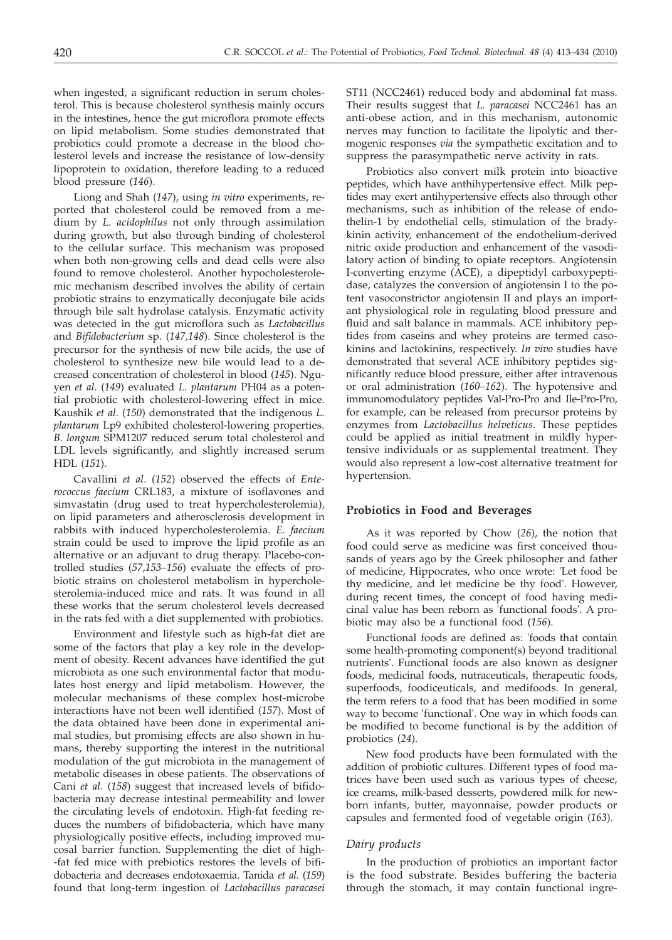when ingested, a significant reduction in serum cholesterol. This is because cholesterol synthesis mainly occurs in the intestines, hence the gut microflora promote effects on lipid metabolism. Some studies demonstrated that probiotics could promote a decrease in the blood cholesterol levels and increase the resistance of low-density lipoprotein to oxidation, therefore leading to a reduced blood pressure (*146*).

Liong and Shah (*147*), using *in vitro* experiments, reported that cholesterol could be removed from a medium by *L. acidophilus* not only through assimilation during growth, but also through binding of cholesterol to the cellular surface. This mechanism was proposed when both non-growing cells and dead cells were also found to remove cholesterol. Another hypocholesterolemic mechanism described involves the ability of certain probiotic strains to enzymatically deconjugate bile acids through bile salt hydrolase catalysis. Enzymatic activity was detected in the gut microflora such as *Lactobacillus* and *Bifidobacterium* sp. (*147,148*). Since cholesterol is the precursor for the synthesis of new bile acids, the use of cholesterol to synthesize new bile would lead to a decreased concentration of cholesterol in blood (*145*). Nguyen *et al*. (*149*) evaluated *L. plantarum* PH04 as a potential probiotic with cholesterol-lowering effect in mice. Kaushik *et al*. (*150*) demonstrated that the indigenous *L. plantarum* Lp9 exhibited cholesterol-lowering properties. *B. longum* SPM1207 reduced serum total cholesterol and LDL levels significantly, and slightly increased serum HDL (*151*).

Cavallini *et al*. (*152*) observed the effects of *Enterococcus faecium* CRL183, a mixture of isoflavones and simvastatin (drug used to treat hypercholesterolemia), on lipid parameters and atherosclerosis development in rabbits with induced hypercholesterolemia. *E. faecium* strain could be used to improve the lipid profile as an alternative or an adjuvant to drug therapy. Placebo-controlled studies (*57*,*153–156*) evaluate the effects of probiotic strains on cholesterol metabolism in hypercholesterolemia-induced mice and rats. It was found in all these works that the serum cholesterol levels decreased in the rats fed with a diet supplemented with probiotics.

Environment and lifestyle such as high-fat diet are some of the factors that play a key role in the development of obesity. Recent advances have identified the gut microbiota as one such environmental factor that modulates host energy and lipid metabolism. However, the molecular mechanisms of these complex host-microbe interactions have not been well identified (*157*). Most of the data obtained have been done in experimental animal studies, but promising effects are also shown in humans, thereby supporting the interest in the nutritional modulation of the gut microbiota in the management of metabolic diseases in obese patients. The observations of Cani *et al.* (*158*) suggest that increased levels of bifidobacteria may decrease intestinal permeability and lower the circulating levels of endotoxin. High-fat feeding reduces the numbers of bifidobacteria, which have many physiologically positive effects, including improved mucosal barrier function. Supplementing the diet of high- -fat fed mice with prebiotics restores the levels of bifidobacteria and decreases endotoxaemia. Tanida *et al.* (*159*) found that long-term ingestion of *Lactobacillus paracasei*

ST11 (NCC2461) reduced body and abdominal fat mass. Their results suggest that *L. paracasei* NCC2461 has an anti-obese action, and in this mechanism, autonomic nerves may function to facilitate the lipolytic and thermogenic responses *via* the sympathetic excitation and to suppress the parasympathetic nerve activity in rats.

Probiotics also convert milk protein into bioactive peptides, which have anthihypertensive effect. Milk peptides may exert antihypertensive effects also through other mechanisms, such as inhibition of the release of endothelin-1 by endothelial cells, stimulation of the bradykinin activity, enhancement of the endothelium-derived nitric oxide production and enhancement of the vasodilatory action of binding to opiate receptors. Angiotensin I-converting enzyme (ACE), a dipeptidyl carboxypeptidase, catalyzes the conversion of angiotensin I to the potent vasoconstrictor angiotensin II and plays an important physiological role in regulating blood pressure and fluid and salt balance in mammals. ACE inhibitory peptides from caseins and whey proteins are termed casokinins and lactokinins, respectively. *In vivo* studies have demonstrated that several ACE inhibitory peptides significantly reduce blood pressure, either after intravenous or oral administration (*160–162*). The hypotensive and immunomodulatory peptides Val-Pro-Pro and Ile-Pro-Pro, for example, can be released from precursor proteins by enzymes from *Lactobacillus helveticus*. These peptides could be applied as initial treatment in mildly hypertensive individuals or as supplemental treatment. They would also represent a low-cost alternative treatment for hypertension.

#### **Probiotics in Food and Beverages**

As it was reported by Chow (*26*), the notion that food could serve as medicine was first conceived thousands of years ago by the Greek philosopher and father of medicine, Hippocrates, who once wrote: 'Let food be thy medicine, and let medicine be thy food'. However, during recent times, the concept of food having medicinal value has been reborn as 'functional foods'. A probiotic may also be a functional food (*156*).

Functional foods are defined as: 'foods that contain some health-promoting component(s) beyond traditional nutrients'. Functional foods are also known as designer foods, medicinal foods, nutraceuticals, therapeutic foods, superfoods, foodiceuticals, and medifoods. In general, the term refers to a food that has been modified in some way to become 'functional'. One way in which foods can be modified to become functional is by the addition of probiotics (*24*).

New food products have been formulated with the addition of probiotic cultures. Different types of food matrices have been used such as various types of cheese, ice creams, milk-based desserts, powdered milk for newborn infants, butter, mayonnaise, powder products or capsules and fermented food of vegetable origin (*163*).

### *Dairy products*

In the production of probiotics an important factor is the food substrate. Besides buffering the bacteria through the stomach, it may contain functional ingre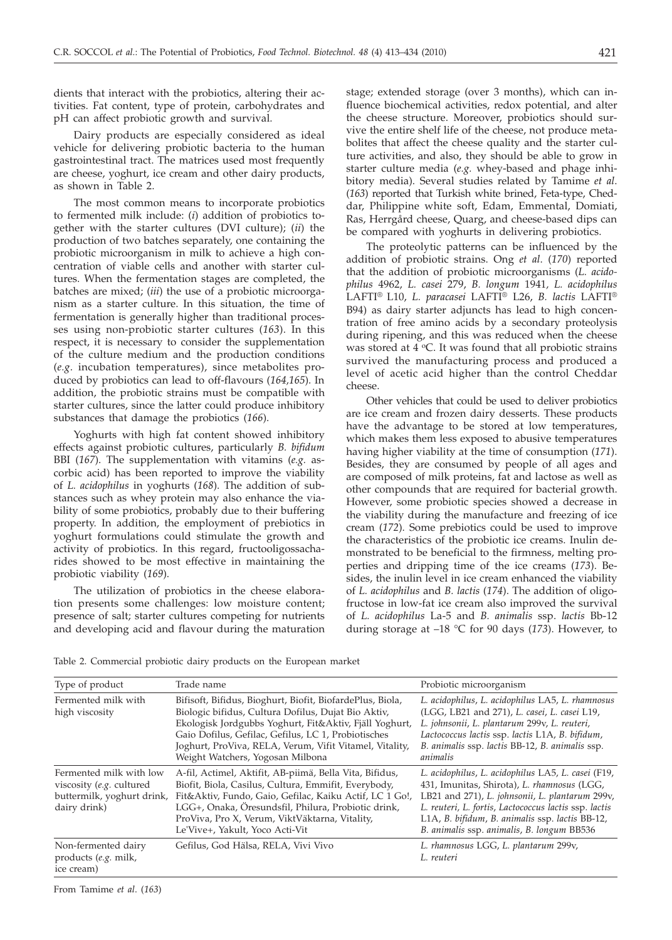dients that interact with the probiotics, altering their activities. Fat content, type of protein, carbohydrates and pH can affect probiotic growth and survival.

Dairy products are especially considered as ideal vehicle for delivering probiotic bacteria to the human gastrointestinal tract. The matrices used most frequently are cheese, yoghurt, ice cream and other dairy products, as shown in Table 2.

The most common means to incorporate probiotics to fermented milk include: (*i*) addition of probiotics together with the starter cultures (DVI culture); (*ii*) the production of two batches separately, one containing the probiotic microorganism in milk to achieve a high concentration of viable cells and another with starter cultures. When the fermentation stages are completed, the batches are mixed; (*iii*) the use of a probiotic microorganism as a starter culture. In this situation, the time of fermentation is generally higher than traditional processes using non-probiotic starter cultures (*163*). In this respect, it is necessary to consider the supplementation of the culture medium and the production conditions (*e.g*. incubation temperatures), since metabolites produced by probiotics can lead to off-flavours (*164,165*). In addition, the probiotic strains must be compatible with starter cultures, since the latter could produce inhibitory substances that damage the probiotics (*166*).

Yoghurts with high fat content showed inhibitory effects against probiotic cultures, particularly *B. bifidum* BBI (*167*). The supplementation with vitamins (*e.g.* ascorbic acid) has been reported to improve the viability of *L. acidophilus* in yoghurts (*168*). The addition of substances such as whey protein may also enhance the viability of some probiotics, probably due to their buffering property. In addition, the employment of prebiotics in yoghurt formulations could stimulate the growth and activity of probiotics. In this regard, fructooligossacharides showed to be most effective in maintaining the probiotic viability (*169*).

The utilization of probiotics in the cheese elaboration presents some challenges: low moisture content; presence of salt; starter cultures competing for nutrients and developing acid and flavour during the maturation

stage; extended storage (over 3 months), which can influence biochemical activities, redox potential, and alter the cheese structure. Moreover, probiotics should survive the entire shelf life of the cheese, not produce metabolites that affect the cheese quality and the starter culture activities, and also, they should be able to grow in starter culture media (*e.g.* whey-based and phage inhibitory media). Several studies related by Tamime *et al*. (*163*) reported that Turkish white brined, Feta-type, Cheddar, Philippine white soft, Edam, Emmental, Domiati, Ras, Herrgård cheese, Quarg, and cheese-based dips can be compared with yoghurts in delivering probiotics.

The proteolytic patterns can be influenced by the addition of probiotic strains. Ong *et al*. (*170*) reported that the addition of probiotic microorganisms (*L. acidophilus* 4962, *L. casei* 279, *B. longum* 1941*, L. acidophilus* LAFTI® L10, *L. paracasei* LAFTI® L26, *B. lactis* LAFTI® B94) as dairy starter adjuncts has lead to high concentration of free amino acids by a secondary proteolysis during ripening, and this was reduced when the cheese was stored at  $4 \,^{\circ}\text{C}$ . It was found that all probiotic strains survived the manufacturing process and produced a level of acetic acid higher than the control Cheddar cheese.

Other vehicles that could be used to deliver probiotics are ice cream and frozen dairy desserts. These products have the advantage to be stored at low temperatures, which makes them less exposed to abusive temperatures having higher viability at the time of consumption (*171*). Besides, they are consumed by people of all ages and are composed of milk proteins, fat and lactose as well as other compounds that are required for bacterial growth. However, some probiotic species showed a decrease in the viability during the manufacture and freezing of ice cream (*172*). Some prebiotics could be used to improve the characteristics of the probiotic ice creams. Inulin demonstrated to be beneficial to the firmness, melting properties and dripping time of the ice creams (*173*). Besides, the inulin level in ice cream enhanced the viability of *L. acidophilus* and *B. lactis* (*174*). The addition of oligofructose in low-fat ice cream also improved the survival of *L. acidophilus* La-5 and *B. animalis* ssp. *lactis* Bb-12 during storage at –18 °C for 90 days (*173*). However, to

Table 2. Commercial probiotic dairy products on the European market

| Type of product                                                                                   | Trade name                                                                                                                                                                                                                                                                                                                       | Probiotic microorganism                                                                                                                                                                                                                                                                                        |
|---------------------------------------------------------------------------------------------------|----------------------------------------------------------------------------------------------------------------------------------------------------------------------------------------------------------------------------------------------------------------------------------------------------------------------------------|----------------------------------------------------------------------------------------------------------------------------------------------------------------------------------------------------------------------------------------------------------------------------------------------------------------|
| Fermented milk with<br>high viscosity                                                             | Bifisoft, Bifidus, Bioghurt, Biofit, BiofardePlus, Biola,<br>Biologic bifidus, Cultura Dofilus, Dujat Bio Aktiv,<br>Ekologisk Jordgubbs Yoghurt, Fit&Aktiv, Fjäll Yoghurt,<br>Gaio Dofilus, Gefilac, Gefilus, LC 1, Probiotisches<br>Joghurt, ProViva, RELA, Verum, Vifit Vitamel, Vitality,<br>Weight Watchers, Yogosan Milbona | L. acidophilus, L. acidophilus LA5, L. rhamnosus<br>(LGG, LB21 and 271), L. casei, L. casei L19,<br>L. johnsonii, L. plantarum 299v, L. reuteri,<br>Lactococcus lactis ssp. lactis L1A, B. bifidum,<br>B. animalis ssp. lactis BB-12, B. animalis ssp.<br>animalis                                             |
| Fermented milk with low<br>viscosity (e.g. cultured<br>buttermilk, yoghurt drink,<br>dairy drink) | A-fil, Actimel, Aktifit, AB-piimä, Bella Vita, Bifidus,<br>Biofit, Biola, Casilus, Cultura, Emmifit, Everybody,<br>Fit&Aktiv, Fundo, Gaio, Gefilac, Kaiku Actif, LC 1 Go!,<br>LGG+, Onaka, Öresundsfil, Philura, Probiotic drink,<br>ProViva, Pro X, Verum, ViktVäktarna, Vitality,<br>Le'Vive+, Yakult, Yoco Acti-Vit           | L. acidophilus, L. acidophilus LA5, L. casei (F19,<br>431, Imunitas, Shirota), L. rhamnosus (LGG,<br>LB21 and 271), L. johnsonii, L. plantarum 299v,<br>L. reuteri, L. fortis, Lactococcus lactis ssp. lactis<br>L1A, B. bifidum, B. animalis ssp. lactis BB-12,<br>B. animalis ssp. animalis, B. longum BB536 |
| Non-fermented dairy<br>products (e.g. milk,<br>ice cream)                                         | Gefilus, God Hälsa, RELA, Vivi Vivo                                                                                                                                                                                                                                                                                              | L. rhamnosus LGG, L. plantarum 299v,<br>L. reuteri                                                                                                                                                                                                                                                             |

From Tamime *et al*. (*163*)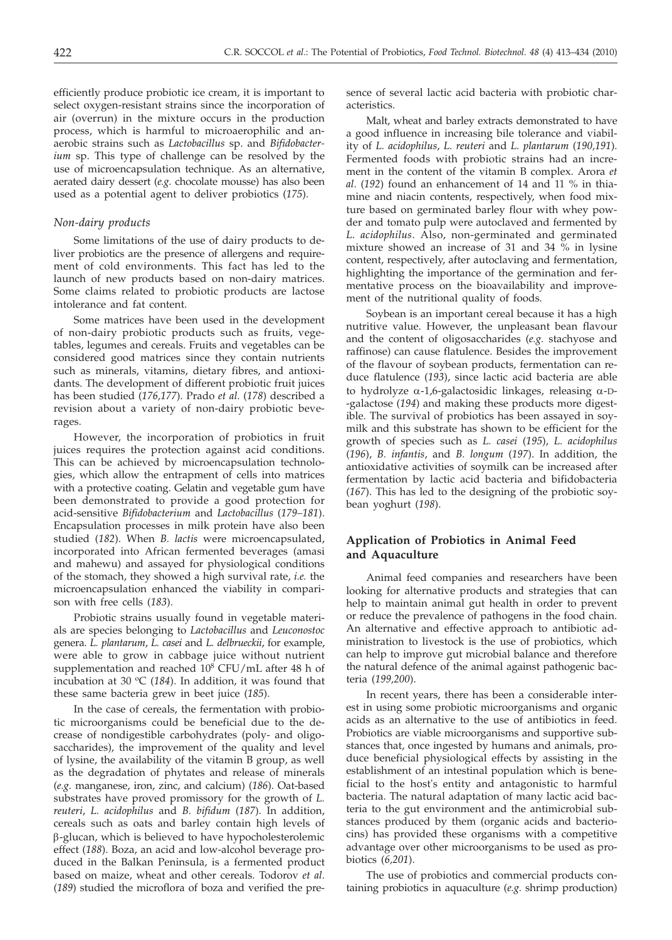efficiently produce probiotic ice cream, it is important to select oxygen-resistant strains since the incorporation of air (overrun) in the mixture occurs in the production process, which is harmful to microaerophilic and anaerobic strains such as *Lactobacillus* sp. and *Bifidobacterium* sp. This type of challenge can be resolved by the use of microencapsulation technique. As an alternative, aerated dairy dessert (*e.g.* chocolate mousse) has also been used as a potential agent to deliver probiotics (*175*).

# *Non-dairy products*

Some limitations of the use of dairy products to deliver probiotics are the presence of allergens and requirement of cold environments. This fact has led to the launch of new products based on non-dairy matrices. Some claims related to probiotic products are lactose intolerance and fat content.

Some matrices have been used in the development of non-dairy probiotic products such as fruits, vegetables, legumes and cereals. Fruits and vegetables can be considered good matrices since they contain nutrients such as minerals, vitamins, dietary fibres, and antioxidants. The development of different probiotic fruit juices has been studied (*176,177*). Prado *et al*. (*178*) described a revision about a variety of non-dairy probiotic beverages.

However, the incorporation of probiotics in fruit juices requires the protection against acid conditions. This can be achieved by microencapsulation technologies, which allow the entrapment of cells into matrices with a protective coating. Gelatin and vegetable gum have been demonstrated to provide a good protection for acid-sensitive *Bifidobacterium* and *Lactobacillus* (*179–181*). Encapsulation processes in milk protein have also been studied (*182*). When *B. lactis* were microencapsulated, incorporated into African fermented beverages (amasi and mahewu) and assayed for physiological conditions of the stomach, they showed a high survival rate, *i.e.* the microencapsulation enhanced the viability in comparison with free cells (*183*).

Probiotic strains usually found in vegetable materials are species belonging to *Lactobacillus* and *Leuconostoc* genera. *L. plantarum*, *L. casei* and *L. delbrueckii*, for example, were able to grow in cabbage juice without nutrient supplementation and reached 10<sup>8</sup> CFU/mL after 48 h of incubation at 30  $\mathrm{C}$  (184). In addition, it was found that these same bacteria grew in beet juice (*185*).

In the case of cereals, the fermentation with probiotic microorganisms could be beneficial due to the decrease of nondigestible carbohydrates (poly- and oligosaccharides), the improvement of the quality and level of lysine, the availability of the vitamin B group, as well as the degradation of phytates and release of minerals (*e.g.* manganese, iron, zinc, and calcium) (*186*). Oat-based substrates have proved promissory for the growth of *L. reuteri*, *L. acidophilus* and *B. bifidum* (*187*). In addition, cereals such as oats and barley contain high levels of b-glucan, which is believed to have hypocholesterolemic effect (*188*). Boza, an acid and low-alcohol beverage produced in the Balkan Peninsula, is a fermented product based on maize, wheat and other cereals. Todorov *et al*. (*189*) studied the microflora of boza and verified the presence of several lactic acid bacteria with probiotic characteristics.

Malt, wheat and barley extracts demonstrated to have a good influence in increasing bile tolerance and viability of *L. acidophilus*, *L. reuteri* and *L. plantarum* (*190,191*). Fermented foods with probiotic strains had an increment in the content of the vitamin B complex. Arora *et al*. (*192*) found an enhancement of 14 and 11 % in thiamine and niacin contents, respectively, when food mixture based on germinated barley flour with whey powder and tomato pulp were autoclaved and fermented by *L. acidophilus*. Also, non-germinated and germinated mixture showed an increase of 31 and 34 % in lysine content, respectively, after autoclaving and fermentation, highlighting the importance of the germination and fermentative process on the bioavailability and improvement of the nutritional quality of foods.

Soybean is an important cereal because it has a high nutritive value. However, the unpleasant bean flavour and the content of oligosaccharides (*e.g.* stachyose and raffinose) can cause flatulence. Besides the improvement of the flavour of soybean products, fermentation can reduce flatulence (*193*), since lactic acid bacteria are able to hydrolyze  $\alpha$ -1,6-galactosidic linkages, releasing  $\alpha$ -D--galactose (*194*) and making these products more digestible. The survival of probiotics has been assayed in soymilk and this substrate has shown to be efficient for the growth of species such as *L. casei* (*195*), *L. acidophilus* (*196*), *B. infantis*, and *B. longum* (*197*). In addition, the antioxidative activities of soymilk can be increased after fermentation by lactic acid bacteria and bifidobacteria (*167*). This has led to the designing of the probiotic soybean yoghurt (*198*).

# **Application of Probiotics in Animal Feed and Aquaculture**

Animal feed companies and researchers have been looking for alternative products and strategies that can help to maintain animal gut health in order to prevent or reduce the prevalence of pathogens in the food chain. An alternative and effective approach to antibiotic administration to livestock is the use of probiotics, which can help to improve gut microbial balance and therefore the natural defence of the animal against pathogenic bacteria (*199,200*).

In recent years, there has been a considerable interest in using some probiotic microorganisms and organic acids as an alternative to the use of antibiotics in feed. Probiotics are viable microorganisms and supportive substances that, once ingested by humans and animals, produce beneficial physiological effects by assisting in the establishment of an intestinal population which is beneficial to the host's entity and antagonistic to harmful bacteria. The natural adaptation of many lactic acid bacteria to the gut environment and the antimicrobial substances produced by them (organic acids and bacteriocins) has provided these organisms with a competitive advantage over other microorganisms to be used as probiotics (*6,201*).

The use of probiotics and commercial products containing probiotics in aquaculture (*e.g.* shrimp production)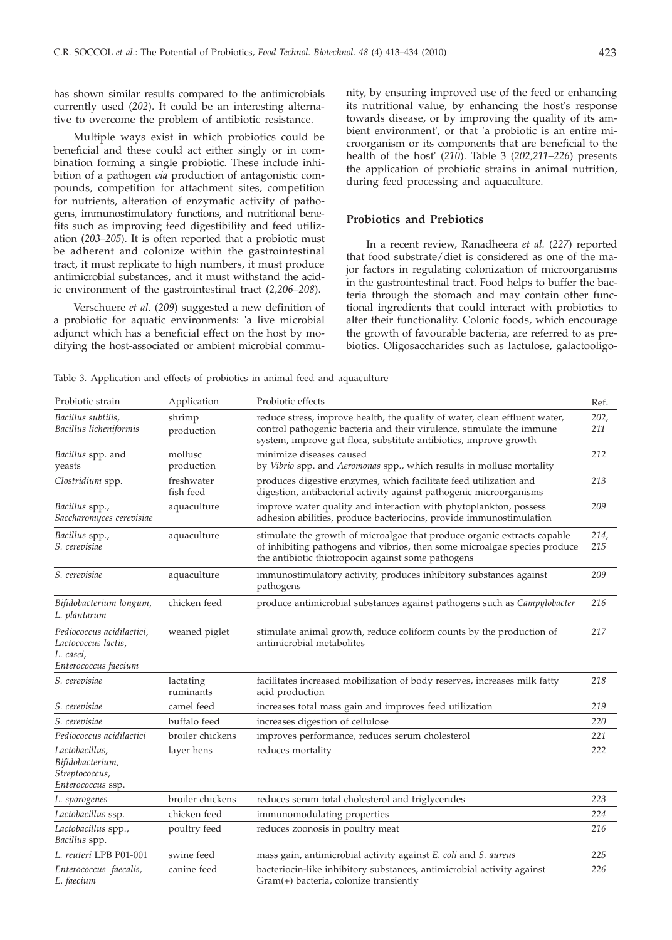has shown similar results compared to the antimicrobials currently used (*202*). It could be an interesting alternative to overcome the problem of antibiotic resistance.

Multiple ways exist in which probiotics could be beneficial and these could act either singly or in combination forming a single probiotic. These include inhibition of a pathogen *via* production of antagonistic compounds, competition for attachment sites, competition for nutrients, alteration of enzymatic activity of pathogens, immunostimulatory functions, and nutritional benefits such as improving feed digestibility and feed utilization (*203–205*). It is often reported that a probiotic must be adherent and colonize within the gastrointestinal tract, it must replicate to high numbers, it must produce antimicrobial substances, and it must withstand the acidic environment of the gastrointestinal tract (*2,206–208*).

Verschuere *et al.* (*209*) suggested a new definition of a probiotic for aquatic environments: 'a live microbial adjunct which has a beneficial effect on the host by modifying the host-associated or ambient microbial community, by ensuring improved use of the feed or enhancing its nutritional value, by enhancing the host's response towards disease, or by improving the quality of its ambient environment', or that 'a probiotic is an entire microorganism or its components that are beneficial to the health of the host' (*210*). Table 3 (*202,211–226*) presents the application of probiotic strains in animal nutrition, during feed processing and aquaculture.

# **Probiotics and Prebiotics**

In a recent review, Ranadheera *et al.* (*227*) reported that food substrate/diet is considered as one of the major factors in regulating colonization of microorganisms in the gastrointestinal tract. Food helps to buffer the bacteria through the stomach and may contain other functional ingredients that could interact with probiotics to alter their functionality. Colonic foods, which encourage the growth of favourable bacteria, are referred to as prebiotics. Oligosaccharides such as lactulose, galactooligo-

Table 3. Application and effects of probiotics in animal feed and aquaculture

| Probiotic strain                                                                      | Application             | Probiotic effects                                                                                                                                                                                                        | Ref.        |
|---------------------------------------------------------------------------------------|-------------------------|--------------------------------------------------------------------------------------------------------------------------------------------------------------------------------------------------------------------------|-------------|
| Bacillus subtilis,<br>shrimp<br>Bacillus licheniformis<br>production                  |                         | reduce stress, improve health, the quality of water, clean effluent water,<br>control pathogenic bacteria and their virulence, stimulate the immune<br>system, improve gut flora, substitute antibiotics, improve growth |             |
| Bacillus spp. and<br>yeasts                                                           | mollusc<br>production   | minimize diseases caused<br>by Vibrio spp. and Aeromonas spp., which results in mollusc mortality                                                                                                                        | 212         |
| Clostridium spp.                                                                      | freshwater<br>fish feed | produces digestive enzymes, which facilitate feed utilization and<br>digestion, antibacterial activity against pathogenic microorganisms                                                                                 | 213         |
| Bacillus spp.,<br>Saccharomyces cerevisiae                                            | aquaculture             | improve water quality and interaction with phytoplankton, possess<br>adhesion abilities, produce bacteriocins, provide immunostimulation                                                                                 | 209         |
| Bacillus spp.,<br>S. cerevisiae                                                       | aquaculture             | stimulate the growth of microalgae that produce organic extracts capable<br>of inhibiting pathogens and vibrios, then some microalgae species produce<br>the antibiotic thiotropocin against some pathogens              | 214,<br>215 |
| S. cerevisiae                                                                         | aquaculture             | immunostimulatory activity, produces inhibitory substances against<br>pathogens                                                                                                                                          | 209         |
| Bifidobacterium longum,<br>L. plantarum                                               | chicken feed            | produce antimicrobial substances against pathogens such as <i>Campylobacter</i>                                                                                                                                          | 216         |
| Pediococcus acidilactici,<br>Lactococcus lactis,<br>L. casei,<br>Enterococcus faecium | weaned piglet           | stimulate animal growth, reduce coliform counts by the production of<br>antimicrobial metabolites                                                                                                                        | 217         |
| S. cerevisiae                                                                         | lactating<br>ruminants  | facilitates increased mobilization of body reserves, increases milk fatty<br>acid production                                                                                                                             | 218         |
| S. cerevisiae                                                                         | camel feed              | increases total mass gain and improves feed utilization                                                                                                                                                                  | 219         |
| S. cerevisiae                                                                         | buffalo feed            | increases digestion of cellulose                                                                                                                                                                                         | 220         |
| Pediococcus acidilactici                                                              | broiler chickens        | improves performance, reduces serum cholesterol                                                                                                                                                                          | 221         |
| Lactobacillus.<br>Bifidobacterium,<br>Streptococcus,<br>Enterococcus ssp.             | layer hens              | reduces mortality                                                                                                                                                                                                        | 222         |
| L. sporogenes                                                                         | broiler chickens        | reduces serum total cholesterol and triglycerides                                                                                                                                                                        | 223         |
| Lactobacillus ssp.                                                                    | chicken feed            | immunomodulating properties                                                                                                                                                                                              | 224         |
| Lactobacillus spp.,<br>Bacillus spp.                                                  | poultry feed            | reduces zoonosis in poultry meat                                                                                                                                                                                         | 216         |
| L. reuteri LPB P01-001                                                                | swine feed              | mass gain, antimicrobial activity against E. coli and S. aureus                                                                                                                                                          | 225         |
| Enterococcus faecalis,<br>E. faecium                                                  | canine feed             | bacteriocin-like inhibitory substances, antimicrobial activity against<br>Gram(+) bacteria, colonize transiently                                                                                                         | 226         |
|                                                                                       |                         |                                                                                                                                                                                                                          |             |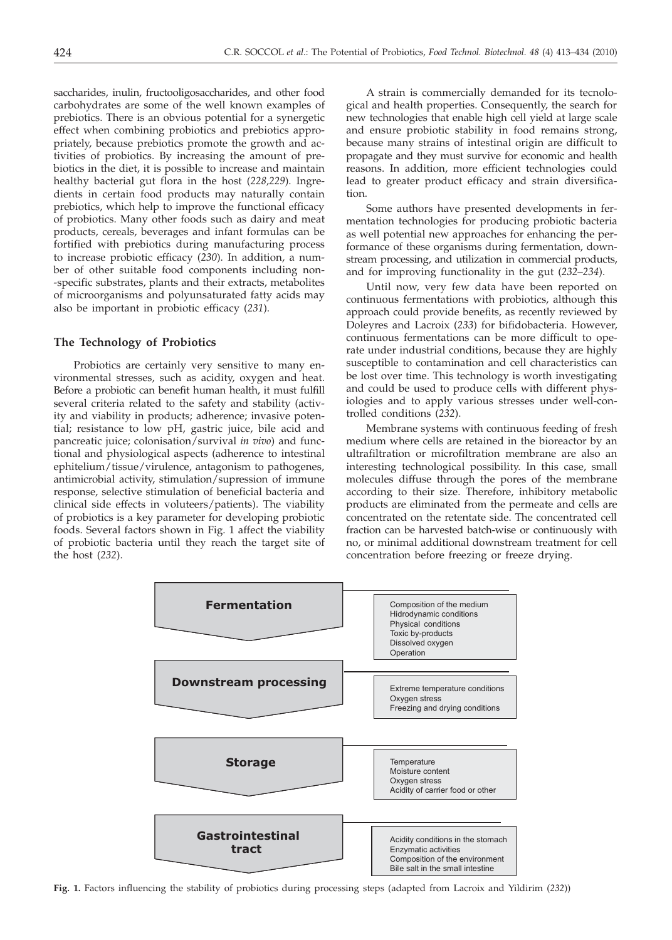saccharides, inulin, fructooligosaccharides, and other food carbohydrates are some of the well known examples of prebiotics. There is an obvious potential for a synergetic effect when combining probiotics and prebiotics appropriately, because prebiotics promote the growth and activities of probiotics. By increasing the amount of prebiotics in the diet, it is possible to increase and maintain healthy bacterial gut flora in the host (*228,229*). Ingredients in certain food products may naturally contain prebiotics, which help to improve the functional efficacy of probiotics. Many other foods such as dairy and meat products, cereals, beverages and infant formulas can be fortified with prebiotics during manufacturing process to increase probiotic efficacy (*230*). In addition, a number of other suitable food components including non- -specific substrates, plants and their extracts, metabolites of microorganisms and polyunsaturated fatty acids may also be important in probiotic efficacy (*231*).

# **The Technology of Probiotics**

Probiotics are certainly very sensitive to many environmental stresses, such as acidity, oxygen and heat. Before a probiotic can benefit human health, it must fulfill several criteria related to the safety and stability (activity and viability in products; adherence; invasive potential; resistance to low pH, gastric juice, bile acid and pancreatic juice; colonisation/survival *in vivo*) and functional and physiological aspects (adherence to intestinal ephitelium/tissue/virulence, antagonism to pathogenes, antimicrobial activity, stimulation/supression of immune response, selective stimulation of beneficial bacteria and clinical side effects in voluteers/patients). The viability of probiotics is a key parameter for developing probiotic foods. Several factors shown in Fig. 1 affect the viability of probiotic bacteria until they reach the target site of the host (*232*).

A strain is commercially demanded for its tecnological and health properties. Consequently, the search for new technologies that enable high cell yield at large scale and ensure probiotic stability in food remains strong, because many strains of intestinal origin are difficult to propagate and they must survive for economic and health reasons. In addition, more efficient technologies could lead to greater product efficacy and strain diversification.

Some authors have presented developments in fermentation technologies for producing probiotic bacteria as well potential new approaches for enhancing the performance of these organisms during fermentation, downstream processing, and utilization in commercial products, and for improving functionality in the gut (*232–234*).

Until now, very few data have been reported on continuous fermentations with probiotics, although this approach could provide benefits, as recently reviewed by Doleyres and Lacroix (*233*) for bifidobacteria. However, continuous fermentations can be more difficult to operate under industrial conditions, because they are highly susceptible to contamination and cell characteristics can be lost over time. This technology is worth investigating and could be used to produce cells with different physiologies and to apply various stresses under well-controlled conditions (*232*).

Membrane systems with continuous feeding of fresh medium where cells are retained in the bioreactor by an ultrafiltration or microfiltration membrane are also an interesting technological possibility. In this case, small molecules diffuse through the pores of the membrane according to their size. Therefore, inhibitory metabolic products are eliminated from the permeate and cells are concentrated on the retentate side. The concentrated cell fraction can be harvested batch-wise or continuously with no, or minimal additional downstream treatment for cell concentration before freezing or freeze drying.



**Fig. 1.** Factors influencing the stability of probiotics during processing steps (adapted from Lacroix and Yildirim (*232*))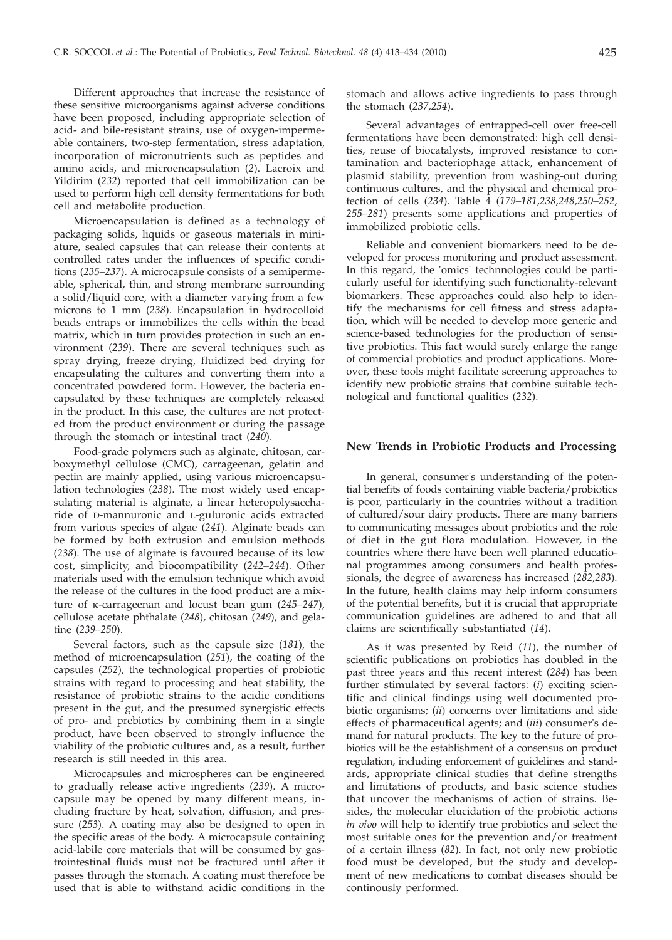Different approaches that increase the resistance of these sensitive microorganisms against adverse conditions have been proposed, including appropriate selection of acid- and bile-resistant strains, use of oxygen-impermeable containers, two-step fermentation, stress adaptation, incorporation of micronutrients such as peptides and amino acids, and microencapsulation (*2*). Lacroix and Yildirim (*232*) reported that cell immobilization can be used to perform high cell density fermentations for both cell and metabolite production.

Microencapsulation is defined as a technology of packaging solids, liquids or gaseous materials in miniature, sealed capsules that can release their contents at controlled rates under the influences of specific conditions (*235–237*). A microcapsule consists of a semipermeable, spherical, thin, and strong membrane surrounding a solid/liquid core, with a diameter varying from a few microns to 1 mm (*238*). Encapsulation in hydrocolloid beads entraps or immobilizes the cells within the bead matrix, which in turn provides protection in such an environment (*239*). There are several techniques such as spray drying, freeze drying, fluidized bed drying for encapsulating the cultures and converting them into a concentrated powdered form. However, the bacteria encapsulated by these techniques are completely released in the product. In this case, the cultures are not protected from the product environment or during the passage through the stomach or intestinal tract (*240*).

Food-grade polymers such as alginate, chitosan, carboxymethyl cellulose (CMC), carrageenan, gelatin and pectin are mainly applied, using various microencapsulation technologies (*238*). The most widely used encapsulating material is alginate, a linear heteropolysaccharide of D-mannuronic and L-guluronic acids extracted from various species of algae (*241*). Alginate beads can be formed by both extrusion and emulsion methods (*238*). The use of alginate is favoured because of its low cost, simplicity, and biocompatibility (*242–244*). Other materials used with the emulsion technique which avoid the release of the cultures in the food product are a mixture of k-carrageenan and locust bean gum (*245–247*), cellulose acetate phthalate (*248*), chitosan (*249*), and gelatine (*239–250*).

Several factors, such as the capsule size (*181*), the method of microencapsulation (*251*), the coating of the capsules (*252*), the technological properties of probiotic strains with regard to processing and heat stability, the resistance of probiotic strains to the acidic conditions present in the gut, and the presumed synergistic effects of pro- and prebiotics by combining them in a single product, have been observed to strongly influence the viability of the probiotic cultures and, as a result, further research is still needed in this area.

Microcapsules and microspheres can be engineered to gradually release active ingredients (*239*). A microcapsule may be opened by many different means, including fracture by heat, solvation, diffusion, and pressure (*253*). A coating may also be designed to open in the specific areas of the body. A microcapsule containing acid-labile core materials that will be consumed by gastrointestinal fluids must not be fractured until after it passes through the stomach. A coating must therefore be used that is able to withstand acidic conditions in the

stomach and allows active ingredients to pass through the stomach (*237,254*).

Several advantages of entrapped-cell over free-cell fermentations have been demonstrated: high cell densities, reuse of biocatalysts, improved resistance to contamination and bacteriophage attack, enhancement of plasmid stability, prevention from washing-out during continuous cultures, and the physical and chemical protection of cells (*234*). Table 4 (*179–181,238,248,250–252, 255–281*) presents some applications and properties of immobilized probiotic cells.

Reliable and convenient biomarkers need to be developed for process monitoring and product assessment. In this regard, the 'omics' technnologies could be particularly useful for identifying such functionality-relevant biomarkers. These approaches could also help to identify the mechanisms for cell fitness and stress adaptation, which will be needed to develop more generic and science-based technologies for the production of sensitive probiotics. This fact would surely enlarge the range of commercial probiotics and product applications. Moreover, these tools might facilitate screening approaches to identify new probiotic strains that combine suitable technological and functional qualities (*232*).

#### **New Trends in Probiotic Products and Processing**

In general, consumer's understanding of the potential benefits of foods containing viable bacteria/probiotics is poor, particularly in the countries without a tradition of cultured/sour dairy products. There are many barriers to communicating messages about probiotics and the role of diet in the gut flora modulation. However, in the countries where there have been well planned educational programmes among consumers and health professionals, the degree of awareness has increased (*282,283*). In the future, health claims may help inform consumers of the potential benefits, but it is crucial that appropriate communication guidelines are adhered to and that all claims are scientifically substantiated (*14*).

As it was presented by Reid (*11*), the number of scientific publications on probiotics has doubled in the past three years and this recent interest (*284*) has been further stimulated by several factors: (*i*) exciting scientific and clinical findings using well documented probiotic organisms; (*ii*) concerns over limitations and side effects of pharmaceutical agents; and (*iii*) consumer's demand for natural products. The key to the future of probiotics will be the establishment of a consensus on product regulation, including enforcement of guidelines and standards, appropriate clinical studies that define strengths and limitations of products, and basic science studies that uncover the mechanisms of action of strains. Besides, the molecular elucidation of the probiotic actions *in vivo* will help to identify true probiotics and select the most suitable ones for the prevention and/or treatment of a certain illness (*82*). In fact, not only new probiotic food must be developed, but the study and development of new medications to combat diseases should be continously performed.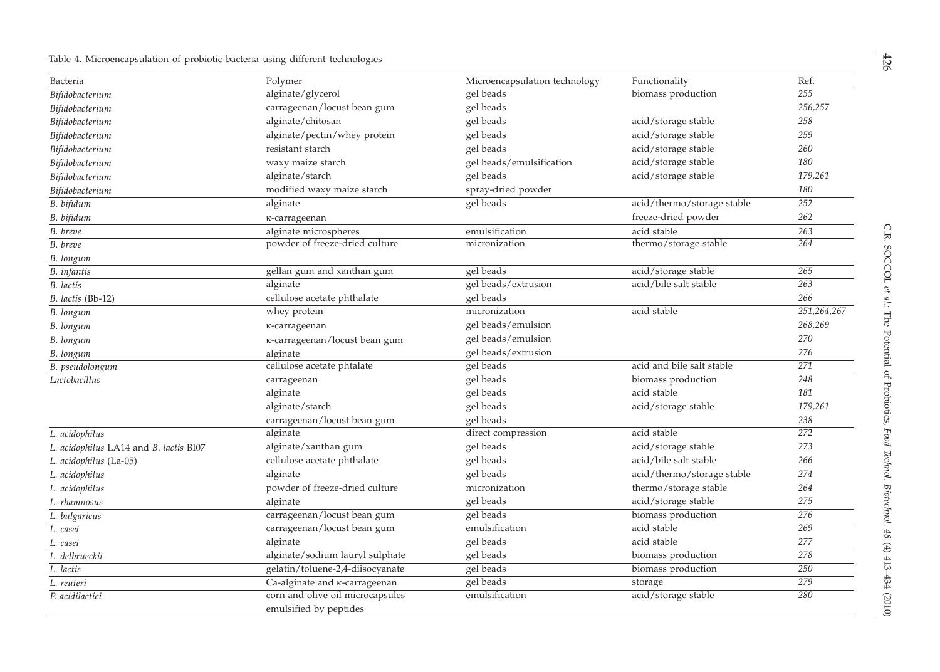| Bacteria                               | Polymer                                                    | Microencapsulation technology    | Functionality              | Ref.        |
|----------------------------------------|------------------------------------------------------------|----------------------------------|----------------------------|-------------|
| Bifidobacterium                        | alginate/glycerol                                          | gel beads                        | biomass production         | 255         |
| Bifidobacterium                        | carrageenan/locust bean gum                                | gel beads                        |                            | 256,257     |
| Bifidobacterium                        | alginate/chitosan                                          | gel beads                        | acid/storage stable        | 258         |
| Bifidobacterium                        | alginate/pectin/whey protein                               | gel beads                        | acid/storage stable        | 259         |
| Bifidobacterium                        | resistant starch                                           | gel beads                        | acid/storage stable        | 260         |
| Bifidobacterium                        | waxy maize starch                                          | gel beads/emulsification         | acid/storage stable        | 180         |
| Bifidobacterium                        | alginate/starch                                            | acid/storage stable<br>gel beads |                            | 179,261     |
| Bifidobacterium                        | modified waxy maize starch                                 | spray-dried powder               |                            |             |
| B. bifidum                             | alginate                                                   | gel beads                        | acid/thermo/storage stable | 252         |
| B. bifidum                             | κ-carrageenan                                              |                                  | freeze-dried powder        |             |
| B. breve                               | alginate microspheres                                      | acid stable<br>emulsification    |                            | 263         |
| B. breve                               | powder of freeze-dried culture                             | micronization                    | thermo/storage stable      | 264         |
| B. longum                              |                                                            |                                  |                            |             |
| <b>B.</b> infantis                     | gellan gum and xanthan gum                                 | gel beads                        | acid/storage stable        |             |
| B. lactis                              | alginate                                                   | gel beads/extrusion              | acid/bile salt stable      | 263         |
| B. lactis (Bb-12)                      | cellulose acetate phthalate                                | gel beads                        |                            | 266         |
| B. longum                              | whey protein                                               | micronization                    | acid stable                | 251,264,267 |
| B. longum                              | K-carrageenan                                              | gel beads/emulsion               |                            | 268,269     |
| B. longum                              | κ-carrageenan/locust bean gum                              | gel beads/emulsion               |                            | 270         |
| B. longum                              | alginate                                                   | gel beads/extrusion              |                            | 276         |
| B. pseudolongum                        | cellulose acetate phtalate                                 | gel beads                        | acid and bile salt stable  | 271         |
| Lactobacillus                          | carrageenan                                                | gel beads                        | biomass production         | 248         |
|                                        | alginate                                                   | gel beads                        | acid stable                | 181         |
|                                        | alginate/starch                                            | gel beads                        | acid/storage stable        | 179,261     |
|                                        | carrageenan/locust bean gum                                | gel beads                        |                            | 238         |
| L. acidophilus                         | alginate                                                   | direct compression               | acid stable                | 272         |
| L. acidophilus LA14 and B. lactis BI07 | alginate/xanthan gum                                       | acid/storage stable<br>gel beads |                            | 273         |
| L. acidophilus (La-05)                 | cellulose acetate phthalate                                | gel beads                        | acid/bile salt stable      | 266         |
| L. acidophilus                         | alginate                                                   | gel beads                        | acid/thermo/storage stable | 274         |
| L. acidophilus                         | powder of freeze-dried culture                             | micronization                    | thermo/storage stable      | 264         |
| L. rhamnosus                           | alginate                                                   | gel beads                        | acid/storage stable        | 275         |
| L. bulgaricus                          | carrageenan/locust bean gum                                | gel beads                        | biomass production         | 276         |
| L. casei                               | carrageenan/locust bean gum                                | emulsification                   | acid stable                | 269         |
| L. casei                               | alginate                                                   | gel beads                        | acid stable                | 277         |
| L. delbrueckii                         | alginate/sodium lauryl sulphate                            | gel beads                        | biomass production         | 278         |
| L. lactis                              | gelatin/toluene-2,4-diisocyanate                           | gel beads                        | biomass production         | 250         |
| L. reuteri                             | Ca-alginate and k-carrageenan                              | gel beads                        | storage                    | 279         |
| P. acidilactici                        | corn and olive oil microcapsules<br>emulsified by peptides | emulsification                   | acid/storage stable        | 280         |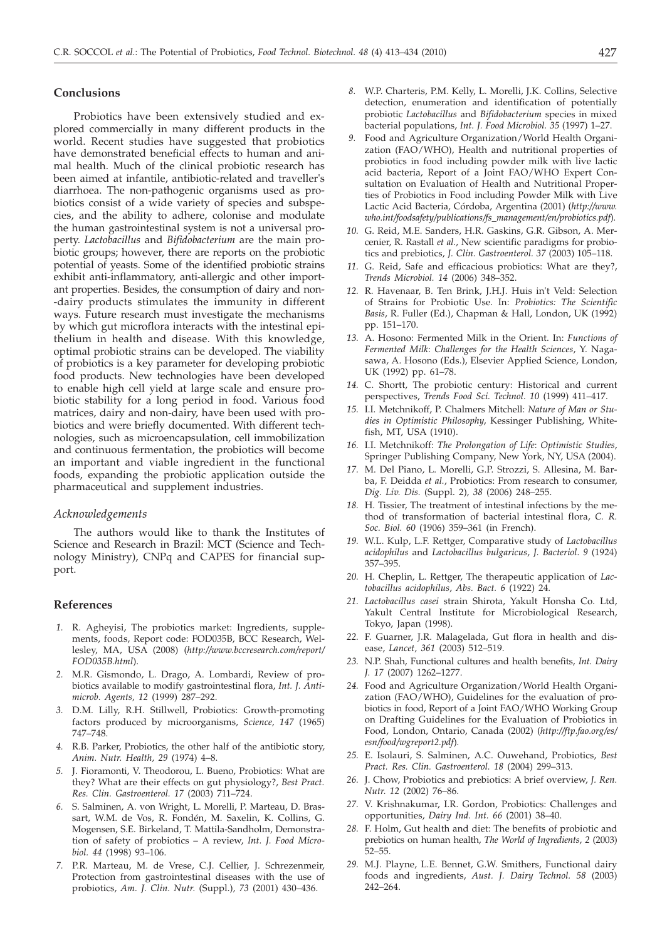#### **Conclusions**

Probiotics have been extensively studied and explored commercially in many different products in the world. Recent studies have suggested that probiotics have demonstrated beneficial effects to human and animal health. Much of the clinical probiotic research has been aimed at infantile, antibiotic-related and traveller's diarrhoea. The non-pathogenic organisms used as probiotics consist of a wide variety of species and subspecies, and the ability to adhere, colonise and modulate the human gastrointestinal system is not a universal property. *Lactobacillus* and *Bifidobacterium* are the main probiotic groups; however, there are reports on the probiotic potential of yeasts. Some of the identified probiotic strains exhibit anti-inflammatory, anti-allergic and other important properties. Besides, the consumption of dairy and non- -dairy products stimulates the immunity in different ways. Future research must investigate the mechanisms by which gut microflora interacts with the intestinal epithelium in health and disease. With this knowledge, optimal probiotic strains can be developed. The viability of probiotics is a key parameter for developing probiotic food products. New technologies have been developed to enable high cell yield at large scale and ensure probiotic stability for a long period in food. Various food matrices, dairy and non-dairy, have been used with probiotics and were briefly documented. With different technologies, such as microencapsulation, cell immobilization and continuous fermentation, the probiotics will become an important and viable ingredient in the functional foods, expanding the probiotic application outside the pharmaceutical and supplement industries.

# *Acknowledgements*

The authors would like to thank the Institutes of Science and Research in Brazil: MCT (Science and Technology Ministry), CNPq and CAPES for financial support.

# **References**

- *1.* R. Agheyisi, The probiotics market: Ingredients, supplements, foods, Report code: FOD035B, BCC Research, Wellesley, MA, USA (2008) (*http://www.bccresearch.com/report/ FOD035B.html*).
- *2.* M.R. Gismondo, L. Drago, A. Lombardi, Review of probiotics available to modify gastrointestinal flora, *Int. J. Antimicrob. Agents, 12* (1999) 287–292.
- *3.* D.M. Lilly, R.H. Stillwell, Probiotics: Growth-promoting factors produced by microorganisms, *Science, 147* (1965) 747–748.
- *4.* R.B. Parker, Probiotics, the other half of the antibiotic story, *Anim. Nutr. Health, 29* (1974) 4–8.
- *5.* J. Fioramonti, V. Theodorou, L. Bueno, Probiotics: What are they? What are their effects on gut physiology?, *Best Pract. Res. Clin. Gastroenterol. 17* (2003) 711–724.
- *6.* S. Salminen, A. von Wright, L. Morelli, P. Marteau, D. Brassart, W.M. de Vos, R. Fondén, M. Saxelin, K. Collins, G. Mogensen, S.E. Birkeland, T. Mattila-Sandholm, Demonstration of safety of probiotics – A review, *Int. J. Food Microbiol. 44* (1998) 93–106.
- *7.* P.R. Marteau, M. de Vrese, C.J. Cellier, J. Schrezenmeir, Protection from gastrointestinal diseases with the use of probiotics, *Am. J. Clin. Nutr.* (Suppl.)*, 73* (2001) 430–436.
- *8.* W.P. Charteris, P.M. Kelly, L. Morelli, J.K. Collins, Selective detection, enumeration and identification of potentially probiotic *Lactobacillus* and *Bifidobacterium* species in mixed bacterial populations, *Int. J. Food Microbiol. 35* (1997) 1–27.
- *9.* Food and Agriculture Organization/World Health Organization (FAO/WHO), Health and nutritional properties of probiotics in food including powder milk with live lactic acid bacteria, Report of a Joint FAO/WHO Expert Consultation on Evaluation of Health and Nutritional Properties of Probiotics in Food including Powder Milk with Live Lactic Acid Bacteria, Córdoba, Argentina (2001) (*http://www. who.int/foodsafety/publications/fs\_management/en/probiotics.pdf*)*.*
- *10.* G. Reid, M.E. Sanders, H.R. Gaskins, G.R. Gibson, A. Mercenier, R. Rastall *et al.*, New scientific paradigms for probiotics and prebiotics, *J. Clin. Gastroenterol. 37* (2003) 105–118.
- *11.* G. Reid, Safe and efficacious probiotics: What are they?, *Trends Microbiol. 14* (2006) 348–352.
- *12.* R. Havenaar, B. Ten Brink, J.H.J. Huis in't Veld: Selection of Strains for Probiotic Use. In: *Probiotics: The Scientific Basis*, R. Fuller (Ed.), Chapman & Hall, London, UK (1992) pp. 151–170.
- *13.* A. Hosono: Fermented Milk in the Orient. In: *Functions of Fermented Milk*: *Challenges for the Health Sciences*, Y. Nagasawa, A. Hosono (Eds.), Elsevier Applied Science, London, UK (1992) pp. 61–78.
- *14.* C. Shortt, The probiotic century: Historical and current perspectives, *Trends Food Sci. Technol. 10* (1999) 411–417.
- *15.* I.I. Metchnikoff, P. Chalmers Mitchell: *Nature of Man or Studies in Optimistic Philosophy*, Kessinger Publishing, Whitefish, MT, USA (1910).
- *16.* I.I. Metchnikoff: *The Prolongation of Life*: *Optimistic Studies*, Springer Publishing Company, New York, NY, USA (2004).
- *17.* M. Del Piano, L. Morelli, G.P. Strozzi, S. Allesina, M. Barba, F. Deidda *et al.*, Probiotics: From research to consumer, *Dig. Liv. Dis.* (Suppl. 2)*, 38* (2006) 248–255.
- *18.* H. Tissier, The treatment of intestinal infections by the method of transformation of bacterial intestinal flora, *C. R. Soc. Biol. 60* (1906) 359–361 (in French).
- *19.* W.L. Kulp, L.F. Rettger, Comparative study of *Lactobacillus acidophilus* and *Lactobacillus bulgaricus*, *J. Bacteriol*. *9* (1924) 357–395.
- *20.* H. Cheplin, L. Rettger, The therapeutic application of *Lactobacillus acidophilus*, *Abs. Bact. 6* (1922) 24.
- *21. Lactobacillus casei* strain Shirota, Yakult Honsha Co. Ltd, Yakult Central Institute for Microbiological Research, Tokyo, Japan (1998).
- *22.* F. Guarner, J.R. Malagelada, Gut flora in health and disease, *Lancet, 361* (2003) 512–519.
- *23.* N.P. Shah, Functional cultures and health benefits, *Int. Dairy J. 17* (2007) 1262–1277.
- *24.* Food and Agriculture Organization/World Health Organization (FAO/WHO), Guidelines for the evaluation of probiotics in food, Report of a Joint FAO/WHO Working Group on Drafting Guidelines for the Evaluation of Probiotics in Food, London, Ontario, Canada (2002) (*http://ftp.fao.org/es/ esn/food/wgreport2.pdf*)*.*
- *25.* E. Isolauri, S. Salminen, A.C. Ouwehand, Probiotics, *Best Pract. Res. Clin. Gastroenterol. 18* (2004) 299–313.
- *26.* J. Chow, Probiotics and prebiotics: A brief overview, *J. Ren. Nutr. 12* (2002) 76–86.
- *27.* V. Krishnakumar, I.R. Gordon, Probiotics: Challenges and opportunities, *Dairy Ind. Int. 66* (2001) 38–40.
- *28.* F. Holm, Gut health and diet: The benefits of probiotic and prebiotics on human health, *The World of Ingredients*, *2* (2003) 52–55.
- *29.* M.J. Playne, L.E. Bennet, G.W. Smithers, Functional dairy foods and ingredients, *Aust. J. Dairy Technol. 58* (2003) 242–264.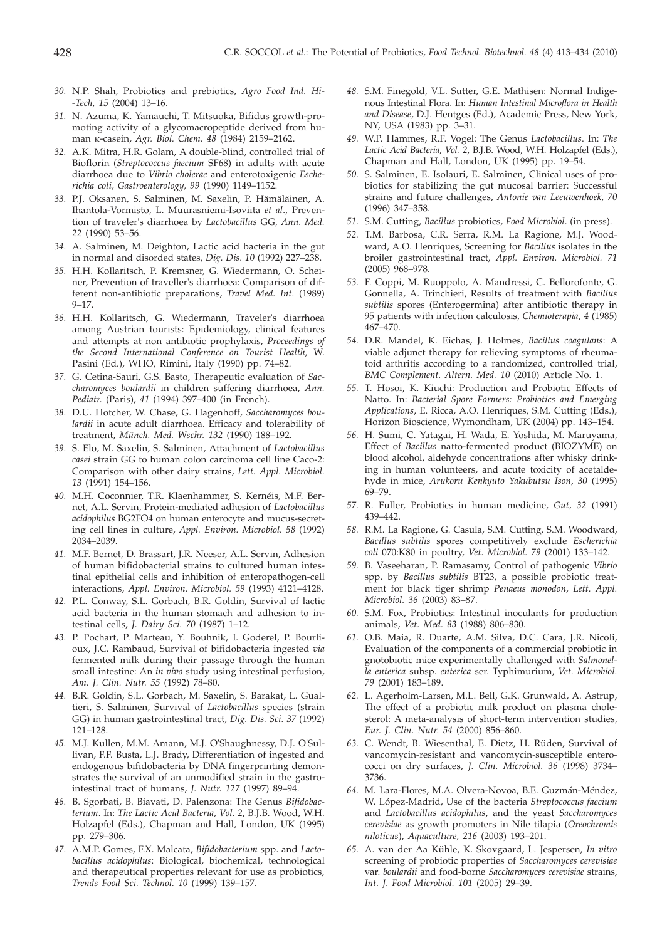- *30.* N.P. Shah, Probiotics and prebiotics, *Agro Food Ind. Hi- -Tech, 15* (2004) 13–16.
- *31.* N. Azuma, K. Yamauchi, T. Mitsuoka, Bifidus growth-promoting activity of a glycomacropeptide derived from human k-casein, *Agr. Biol. Chem. 48* (1984) 2159–2162.
- *32.* A.K. Mitra, H.R. Golam, A double-blind, controlled trial of Bioflorin (*Streptococcus faecium* SF68) in adults with acute diarrhoea due to *Vibrio cholerae* and enterotoxigenic *Escherichia coli*, *Gastroenterology, 99* (1990) 1149–1152.
- *33.* P.J. Oksanen, S. Salminen, M. Saxelin, P. Hämäläinen, A. Ihantola-Vormisto, L. Muurasniemi-Isoviita *et al*., Prevention of traveler's diarrhoea by *Lactobacillus* GG, *Ann. Med. 22* (1990) 53–56.
- *34.* A. Salminen, M. Deighton, Lactic acid bacteria in the gut in normal and disorded states, *Dig. Dis. 10* (1992) 227–238.
- *35.* H.H. Kollaritsch, P. Kremsner, G. Wiedermann, O. Scheiner, Prevention of traveller's diarrhoea: Comparison of different non-antibiotic preparations, *Travel Med. Int.* (1989) 9–17.
- *36.* H.H. Kollaritsch, G. Wiedermann, Traveler's diarrhoea among Austrian tourists: Epidemiology, clinical features and attempts at non antibiotic prophylaxis, *Proceedings of the Second International Conference on Tourist Health,* W. Pasini (Ed.), WHO, Rimini, Italy (1990) pp. 74–82.
- *37.* G. Cetina-Sauri, G.S. Basto, Therapeutic evaluation of *Saccharomyces boulardii* in children suffering diarrhoea, *Ann. Pediatr.* (Paris), *41* (1994) 397–400 (in French).
- *38.* D.U. Hotcher, W. Chase, G. Hagenhoff, *Saccharomyces boulardii* in acute adult diarrhoea. Efficacy and tolerability of treatment, *Münch. Med. Wschr. 132* (1990) 188–192.
- *39.* S. Elo, M. Saxelin, S. Salminen, Attachment of *Lactobacillus casei* strain GG to human colon carcinoma cell line Caco-2: Comparison with other dairy strains, *Lett. Appl. Microbiol. 13* (1991) 154–156.
- *40.* M.H. Coconnier, T.R. Klaenhammer, S. Kernéis, M.F. Bernet, A.L. Servin, Protein-mediated adhesion of *Lactobacillus acidophilus* BG2FO4 on human enterocyte and mucus-secreting cell lines in culture, *Appl. Environ. Microbiol. 58* (1992) 2034–2039.
- *41.* M.F. Bernet, D. Brassart, J.R. Neeser, A.L. Servin, Adhesion of human bifidobacterial strains to cultured human intestinal epithelial cells and inhibition of enteropathogen-cell interactions, *Appl. Environ. Microbiol. 59* (1993) 4121–4128.
- *42.* P.L. Conway, S.L. Gorbach, B.R. Goldin, Survival of lactic acid bacteria in the human stomach and adhesion to intestinal cells, *J. Dairy Sci. 70* (1987) 1–12.
- *43.* P. Pochart, P. Marteau, Y. Bouhnik, I. Goderel, P. Bourlioux, J.C. Rambaud, Survival of bifidobacteria ingested *via* fermented milk during their passage through the human small intestine: An *in vivo* study using intestinal perfusion, *Am. J. Clin. Nutr. 55* (1992) 78–80.
- *44.* B.R. Goldin, S.L. Gorbach, M. Saxelin, S. Barakat, L. Gualtieri, S. Salminen, Survival of *Lactobacillus* species (strain GG) in human gastrointestinal tract, *Dig. Dis. Sci. 37* (1992) 121–128.
- *45.* M.J. Kullen, M.M. Amann, M.J. O'Shaughnessy, D.J. O'Sullivan, F.F. Busta, L.J. Brady, Differentiation of ingested and endogenous bifidobacteria by DNA fingerprinting demonstrates the survival of an unmodified strain in the gastrointestinal tract of humans, *J. Nutr. 127* (1997) 89–94.
- *46.* B. Sgorbati, B. Biavati, D. Palenzona: The Genus *Bifidobacterium*. In: *The Lactic Acid Bacteria, Vol. 2*, B.J.B. Wood, W.H. Holzapfel (Eds.), Chapman and Hall, London, UK (1995) pp. 279–306.
- *47.* A.M.P. Gomes, F.X. Malcata, *Bifidobacterium* spp. and *Lactobacillus acidophilus*: Biological, biochemical, technological and therapeutical properties relevant for use as probiotics, *Trends Food Sci. Technol. 10* (1999) 139–157.
- *48.* S.M. Finegold, V.L. Sutter, G.E. Mathisen: Normal Indigenous Intestinal Flora. In: *Human Intestinal Microflora in Health and Disease*, D.J. Hentges (Ed.), Academic Press, New York, NY, USA (1983) pp. 3–31.
- *49.* W.P. Hammes, R.F. Vogel: The Genus *Lactobacillus*. In: *The Lactic Acid Bacteria, Vol. 2*, B.J.B. Wood, W.H. Holzapfel (Eds.), Chapman and Hall, London, UK (1995) pp. 19–54.
- *50.* S. Salminen, E. Isolauri, E. Salminen, Clinical uses of probiotics for stabilizing the gut mucosal barrier: Successful strains and future challenges, *Antonie van Leeuwenhoek, 70* (1996) 347–358.
- *51.* S.M. Cutting, *Bacillus* probiotics, *Food Microbiol.* (in press).
- *52.* T.M. Barbosa, C.R. Serra, R.M. La Ragione, M.J. Woodward, A.O. Henriques, Screening for *Bacillus* isolates in the broiler gastrointestinal tract, *Appl. Environ. Microbiol. 71* (2005) 968–978.
- *53.* F. Coppi, M. Ruoppolo, A. Mandressi, C. Bellorofonte, G. Gonnella, A. Trinchieri, Results of treatment with *Bacillus subtilis* spores (Enterogermina) after antibiotic therapy in 95 patients with infection calculosis, *Chemioterapia, 4* (1985) 467–470.
- *54.* D.R. Mandel, K. Eichas, J. Holmes, *Bacillus coagulans*: A viable adjunct therapy for relieving symptoms of rheumatoid arthritis according to a randomized, controlled trial, *BMC Complement. Altern. Med. 10* (2010) Article No. 1.
- *55.* T. Hosoi, K. Kiuchi: Production and Probiotic Effects of Natto. In: *Bacterial Spore Formers: Probiotics and Emerging Applications*, E. Ricca, A.O. Henriques, S.M. Cutting (Eds.), Horizon Bioscience, Wymondham, UK (2004) pp. 143–154.
- *56.* H. Sumi, C. Yatagai, H. Wada, E. Yoshida, M. Maruyama, Effect of *Bacillus* natto-fermented product (BIOZYME) on blood alcohol, aldehyde concentrations after whisky drinking in human volunteers, and acute toxicity of acetaldehyde in mice, *Arukoru Kenkyuto Yakubutsu Ison*, *30* (1995) 69–79.
- *57.* R. Fuller, Probiotics in human medicine, *Gut, 32* (1991) 439–442.
- *58.* R.M. La Ragione, G. Casula, S.M. Cutting, S.M. Woodward, *Bacillus subtilis* spores competitively exclude *Escherichia coli* 070:K80 in poultry, *Vet. Microbiol. 79* (2001) 133–142.
- *59.* B. Vaseeharan, P. Ramasamy, Control of pathogenic *Vibrio* spp. by *Bacillus subtilis* BT23, a possible probiotic treatment for black tiger shrimp *Penaeus monodon, Lett. Appl. Microbiol. 36* (2003) 83–87.
- *60.* S.M. Fox, Probiotics: Intestinal inoculants for production animals, *Vet. Med. 83* (1988) 806–830.
- *61.* O.B. Maia, R. Duarte, A.M. Silva, D.C. Cara, J.R. Nicoli, Evaluation of the components of a commercial probiotic in gnotobiotic mice experimentally challenged with *Salmonella enterica* subsp. *enterica* ser. Typhimurium, *Vet. Microbiol. 79* (2001) 183–189.
- *62.* L. Agerholm-Larsen, M.L. Bell, G.K. Grunwald, A. Astrup, The effect of a probiotic milk product on plasma cholesterol: A meta-analysis of short-term intervention studies, *Eur. J. Clin. Nutr. 54* (2000) 856–860.
- *63.* C. Wendt, B. Wiesenthal, E. Dietz, H. Rüden, Survival of vancomycin-resistant and vancomycin-susceptible enterococci on dry surfaces, *J. Clin. Microbiol. 36* (1998) 3734– 3736.
- *64.* M. Lara-Flores, M.A. Olvera-Novoa, B.E. Guzmán-Méndez, W. López-Madrid, Use of the bacteria *Streptococcus faecium* and *Lactobacillus acidophilus*, and the yeast *Saccharomyces cerevisiae* as growth promoters in Nile tilapia (*Oreochromis niloticus*), *Aquaculture, 216* (2003) 193–201.
- *65.* A. van der Aa Kühle, K. Skovgaard, L. Jespersen, *In vitro* screening of probiotic properties of *Saccharomyces cerevisiae* var. *boulardii* and food-borne *Saccharomyces cerevisiae* strains, *Int. J. Food Microbiol. 101* (2005) 29–39.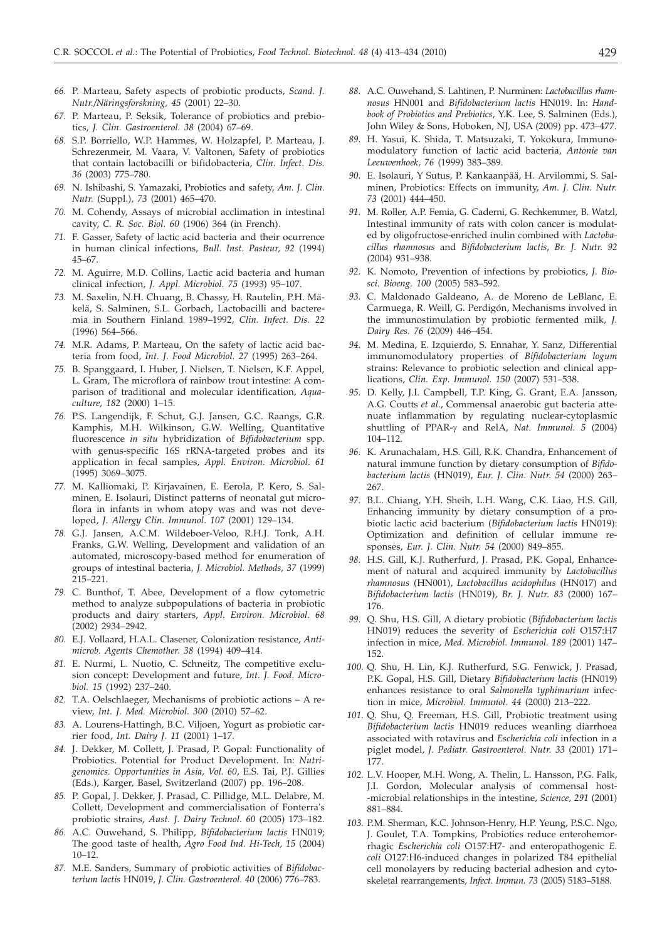- *66.* P. Marteau, Safety aspects of probiotic products, *Scand. J. Nutr./Näringsforskning, 45* (2001) 22–30.
- *67.* P. Marteau, P. Seksik, Tolerance of probiotics and prebiotics, *J. Clin. Gastroenterol. 38* (2004) 67–69.
- *68.* S.P. Borriello, W.P. Hammes, W. Holzapfel, P. Marteau, J. Schrezenmeir, M. Vaara, V. Valtonen, Safety of probiotics that contain lactobacilli or bifidobacteria, *Clin. Infect. Dis. 36* (2003) 775–780.
- *69.* N. Ishibashi, S. Yamazaki, Probiotics and safety, *Am. J. Clin. Nutr.* (Suppl.), *73* (2001) 465–470.
- *70.* M. Cohendy, Assays of microbial acclimation in intestinal cavity, *C. R. Soc. Biol. 60* (1906) 364 (in French).
- *71.* F. Gasser, Safety of lactic acid bacteria and their ocurrence in human clinical infections, *Bull. Inst. Pasteur, 92* (1994) 45–67.
- *72.* M. Aguirre, M.D. Collins, Lactic acid bacteria and human clinical infection, *J. Appl. Microbiol. 75* (1993) 95–107.
- *73.* M. Saxelin, N.H. Chuang, B. Chassy, H. Rautelin, P.H. Mäkelä, S. Salminen, S.L. Gorbach, Lactobacilli and bacteremia in Southern Finland 1989–1992, *Clin. Infect. Dis. 22* (1996) 564–566.
- *74.* M.R. Adams, P. Marteau, On the safety of lactic acid bacteria from food, *Int. J. Food Microbiol. 27* (1995) 263–264.
- *75.* B. Spanggaard, I. Huber, J. Nielsen, T. Nielsen, K.F. Appel, L. Gram, The microflora of rainbow trout intestine: A comparison of traditional and molecular identification, *Aquaculture, 182* (2000) 1–15.
- *76.* P.S. Langendijk, F. Schut, G.J. Jansen, G.C. Raangs, G.R. Kamphis, M.H. Wilkinson, G.W. Welling, Quantitative fluorescence *in situ* hybridization of *Bifidobacterium* spp. with genus-specific 16S rRNA-targeted probes and its application in fecal samples, *Appl. Environ. Microbiol*. *61* (1995) 3069–3075.
- *77.* M. Kalliomaki, P. Kirjavainen, E. Eerola, P. Kero, S. Salminen, E. Isolauri, Distinct patterns of neonatal gut microflora in infants in whom atopy was and was not developed, *J. Allergy Clin. Immunol*. *107* (2001) 129–134.
- *78.* G.J. Jansen, A.C.M. Wildeboer-Veloo, R.H.J. Tonk, A.H. Franks, G.W. Welling, Development and validation of an automated, microscopy-based method for enumeration of groups of intestinal bacteria, *J. Microbiol. Methods, 37* (1999) 215–221.
- *79.* C. Bunthof, T. Abee, Development of a flow cytometric method to analyze subpopulations of bacteria in probiotic products and dairy starters, *Appl. Environ. Microbiol*. *68* (2002) 2934–2942.
- *80.* E.J. Vollaard, H.A.L. Clasener, Colonization resistance, *Antimicrob. Agents Chemother. 38* (1994) 409–414.
- *81.* E. Nurmi, L. Nuotio, C. Schneitz, The competitive exclusion concept: Development and future, *Int. J. Food. Microbiol. 15* (1992) 237–240.
- *82.* T.A. Oelschlaeger, Mechanisms of probiotic actions A review, *Int. J. Med. Microbiol. 300* (2010) 57–62.
- *83.* A. Lourens-Hattingh, B.C. Viljoen, Yogurt as probiotic carrier food, *Int. Dairy J. 11* (2001) 1–17.
- *84.* J. Dekker, M. Collett, J. Prasad, P. Gopal: Functionality of Probiotics. Potential for Product Development. In: *Nutrigenomics. Opportunities in Asia, Vol. 60*, E.S. Tai, P.J. Gillies (Eds.), Karger, Basel, Switzerland (2007) pp. 196–208.
- *85.* P. Gopal, J. Dekker, J. Prasad, C. Pillidge, M.L. Delabre, M. Collett, Development and commercialisation of Fonterra's probiotic strains, *Aust. J. Dairy Technol. 60* (2005) 173–182.
- *86.* A.C. Ouwehand, S. Philipp, *Bifidobacterium lactis* HN019; The good taste of health, *Agro Food Ind. Hi-Tech, 15* (2004) 10–12.
- *87.* M.E. Sanders, Summary of probiotic activities of *Bifidobacterium lactis* HN019, *J. Clin. Gastroenterol. 40* (2006) 776–783.
- *88.* A.C. Ouwehand, S. Lahtinen, P. Nurminen: *Lactobacillus rhamnosus* HN001 and *Bifidobacterium lactis* HN019. In: *Handbook of Probiotics and Prebiotics*, Y.K. Lee, S. Salminen (Eds.), John Wiley & Sons, Hoboken, NJ, USA (2009) pp. 473–477.
- *89.* H. Yasui, K. Shida, T. Matsuzaki, T. Yokokura, Immunomodulatory function of lactic acid bacteria, *Antonie van Leeuwenhoek, 76* (1999) 383–389.
- *90.* E. Isolauri, Y Sutus, P. Kankaanpää, H. Arvilommi, S. Salminen, Probiotics: Effects on immunity, *Am. J. Clin. Nutr. 73* (2001) 444–450.
- *91.* M. Roller, A.P. Femia, G. Caderni, G. Rechkemmer, B. Watzl, Intestinal immunity of rats with colon cancer is modulated by oligofructose-enriched inulin combined with *Lactobacillus rhamnosus* and *Bifidobacterium lactis*, *Br. J. Nutr. 92* (2004) 931–938.
- *92.* K. Nomoto, Prevention of infections by probiotics, *J. Biosci. Bioeng. 100* (2005) 583–592.
- *93.* C. Maldonado Galdeano, A. de Moreno de LeBlanc, E. Carmuega, R. Weill, G. Perdigón, Mechanisms involved in the immunostimulation by probiotic fermented milk, *J. Dairy Res. 76* (2009) 446–454.
- *94.* M. Medina, E. Izquierdo, S. Ennahar, Y. Sanz, Differential immunomodulatory properties of *Bifidobacterium logum* strains: Relevance to probiotic selection and clinical applications, *Clin. Exp. Immunol. 150* (2007) 531–538.
- *95.* D. Kelly, J.I. Campbell, T.P. King, G. Grant, E.A. Jansson, A.G. Coutts *et al*., Commensal anaerobic gut bacteria attenuate inflammation by regulating nuclear-cytoplasmic shuttling of PPAR-g and RelA, *Nat. Immunol. 5* (2004) 104–112.
- *96.* K. Arunachalam, H.S. Gill, R.K. Chandra, Enhancement of natural immune function by dietary consumption of *Bifidobacterium lactis* (HN019), *Eur. J. Clin. Nutr. 54* (2000) 263– 267.
- *97.* B.L. Chiang, Y.H. Sheih, L.H. Wang, C.K. Liao, H.S. Gill, Enhancing immunity by dietary consumption of a probiotic lactic acid bacterium (*Bifidobacterium lactis* HN019): Optimization and definition of cellular immune responses, *Eur. J. Clin. Nutr. 54* (2000) 849–855.
- *98.* H.S. Gill, K.J. Rutherfurd, J. Prasad, P.K. Gopal, Enhancement of natural and acquired immunity by *Lactobacillus rhamnosus* (HN001), *Lactobacillus acidophilus* (HN017) and *Bifidobacterium lactis* (HN019), *Br. J. Nutr. 83* (2000) 167– 176.
- *99.* Q. Shu, H.S. Gill, A dietary probiotic (*Bifidobacterium lactis* HN019) reduces the severity of *Escherichia coli* O157:H7 infection in mice, *Med. Microbiol. Immunol. 189* (2001) 147– 152.
- *100.* Q. Shu, H. Lin, K.J. Rutherfurd, S.G. Fenwick, J. Prasad, P.K. Gopal, H.S. Gill, Dietary *Bifidobacterium lactis* (HN019) enhances resistance to oral *Salmonella typhimurium* infection in mice, *Microbiol. Immunol. 44* (2000) 213–222.
- *101.* Q. Shu, Q. Freeman, H.S. Gill, Probiotic treatment using *Bifidobacterium lactis* HN019 reduces weanling diarrhoea associated with rotavirus and *Escherichia coli* infection in a piglet model, *J. Pediatr. Gastroenterol. Nutr. 33* (2001) 171– 177.
- *102.* L.V. Hooper, M.H. Wong, A. Thelin, L. Hansson, P.G. Falk, J.I. Gordon, Molecular analysis of commensal host- -microbial relationships in the intestine, *Science, 291* (2001) 881–884.
- *103.* P.M. Sherman, K.C. Johnson-Henry, H.P. Yeung, P.S.C. Ngo, J. Goulet, T.A. Tompkins, Probiotics reduce enterohemorrhagic *Escherichia coli* O157:H7- and enteropathogenic *E. coli* O127:H6-induced changes in polarized T84 epithelial cell monolayers by reducing bacterial adhesion and cytoskeletal rearrangements, *Infect. Immun. 73* (2005) 5183–5188.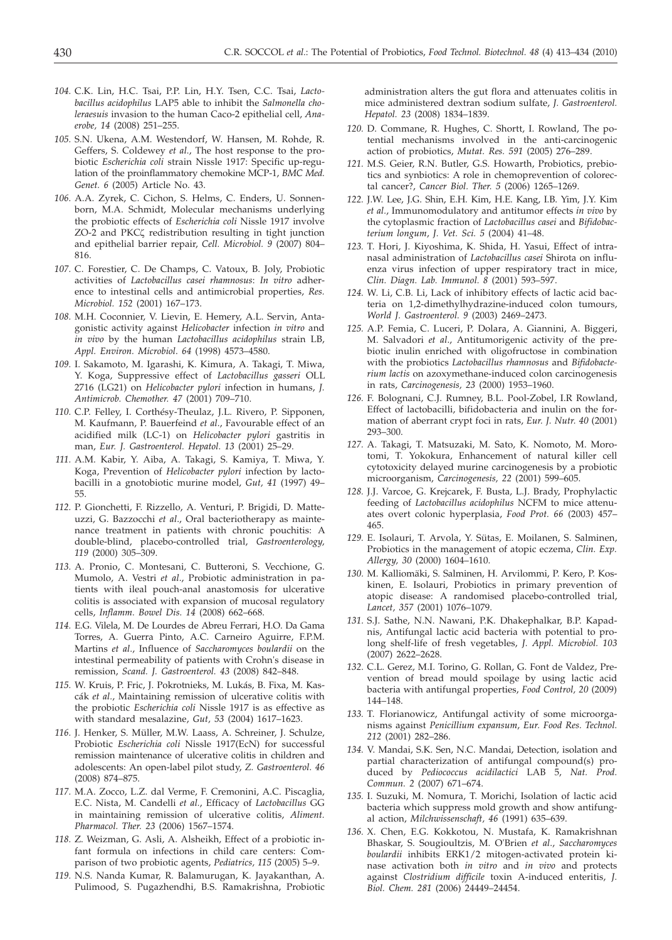- *104.* C.K. Lin, H.C. Tsai, P.P. Lin, H.Y. Tsen, C.C. Tsai, *Lactobacillus acidophilus* LAP5 able to inhibit the *Salmonella choleraesuis* invasion to the human Caco-2 epithelial cell, *Anaerobe, 14* (2008) 251–255.
- *105.* S.N. Ukena, A.M. Westendorf, W. Hansen, M. Rohde, R. Geffers, S. Coldewey *et al.*, The host response to the probiotic *Escherichia coli* strain Nissle 1917: Specific up-regulation of the proinflammatory chemokine MCP-1, *BMC Med. Genet. 6* (2005) Article No. 43.
- *106.* A.A. Zyrek, C. Cichon, S. Helms, C. Enders, U. Sonnenborn, M.A. Schmidt, Molecular mechanisms underlying the probiotic effects of *Escherichia coli* Nissle 1917 involve ZO-2 and PKC $\zeta$  redistribution resulting in tight junction and epithelial barrier repair, *Cell. Microbiol. 9* (2007) 804– 816.
- *107.* C. Forestier, C. De Champs, C. Vatoux, B. Joly, Probiotic activities of *Lactobacillus casei rhamnosus*: *In vitro* adherence to intestinal cells and antimicrobial properties, *Res. Microbiol. 152* (2001) 167–173.
- *108.* M.H. Coconnier, V. Lievin, E. Hemery, A.L. Servin, Antagonistic activity against *Helicobacter* infection *in vitro* and *in vivo* by the human *Lactobacillus acidophilus* strain LB, *Appl. Environ. Microbiol*. *64* (1998) 4573–4580.
- *109.* I. Sakamoto, M. Igarashi, K. Kimura, A. Takagi, T. Miwa, Y. Koga, Suppressive effect of *Lactobacillus gasseri* OLL 2716 (LG21) on *Helicobacter pylori* infection in humans, *J. Antimicrob. Chemother. 47* (2001) 709–710.
- *110.* C.P. Felley, I. Corthésy-Theulaz, J.L. Rivero, P. Sipponen, M. Kaufmann, P. Bauerfeind *et al*., Favourable effect of an acidified milk (LC-1) on *Helicobacter pylori* gastritis in man, *Eur. J. Gastroenterol. Hepatol. 13* (2001) 25–29.
- *111.* A.M. Kabir, Y. Aiba, A. Takagi, S. Kamiya, T. Miwa, Y. Koga, Prevention of *Helicobacter pylori* infection by lactobacilli in a gnotobiotic murine model, *Gut, 41* (1997) 49– 55.
- *112.* P. Gionchetti, F. Rizzello, A. Venturi, P. Brigidi, D. Matteuzzi, G. Bazzocchi *et al*., Oral bacteriotherapy as maintenance treatment in patients with chronic pouchitis: A double-blind, placebo-controlled trial, *Gastroenterology, 119* (2000) 305–309.
- *113.* A. Pronio, C. Montesani, C. Butteroni, S. Vecchione, G. Mumolo, A. Vestri *et al*., Probiotic administration in patients with ileal pouch-anal anastomosis for ulcerative colitis is associated with expansion of mucosal regulatory cells, *Inflamm. Bowel Dis. 14* (2008) 662–668.
- *114.* E.G. Vilela, M. De Lourdes de Abreu Ferrari, H.O. Da Gama Torres, A. Guerra Pinto, A.C. Carneiro Aguirre, F.P.M. Martins *et al*., Influence of *Saccharomyces boulardii* on the intestinal permeability of patients with Crohn's disease in remission, *Scand. J. Gastroenterol. 43* (2008) 842–848.
- *115.* W. Kruis, P. Fric, J. Pokrotnieks, M. Lukás, B. Fixa, M. Kascák *et al.*, Maintaining remission of ulcerative colitis with the probiotic *Escherichia coli* Nissle 1917 is as effective as with standard mesalazine, *Gut, 53* (2004) 1617–1623.
- *116.* J. Henker, S. Müller, M.W. Laass, A. Schreiner, J. Schulze, Probiotic *Escherichia coli* Nissle 1917(EcN) for successful remission maintenance of ulcerative colitis in children and adolescents: An open-label pilot study, *Z. Gastroenterol. 46* (2008) 874–875.
- *117.* M.A. Zocco, L.Z. dal Verme, F. Cremonini, A.C. Piscaglia, E.C. Nista, M. Candelli *et al.*, Efficacy of *Lactobacillus* GG in maintaining remission of ulcerative colitis, *Aliment. Pharmacol. Ther. 23* (2006) 1567–1574.
- *118.* Z. Weizman, G. Asli, A. Alsheikh, Effect of a probiotic infant formula on infections in child care centers: Comparison of two probiotic agents, *Pediatrics, 115* (2005) 5–9.
- *119.* N.S. Nanda Kumar, R. Balamurugan, K. Jayakanthan, A. Pulimood, S. Pugazhendhi, B.S. Ramakrishna, Probiotic

administration alters the gut flora and attenuates colitis in mice administered dextran sodium sulfate, *J. Gastroenterol. Hepatol. 23* (2008) 1834–1839.

- *120.* D. Commane, R. Hughes, C. Shortt, I. Rowland, The potential mechanisms involved in the anti-carcinogenic action of probiotics, *Mutat. Res. 591* (2005) 276–289.
- *121.* M.S. Geier, R.N. Butler, G.S. Howarth, Probiotics, prebiotics and synbiotics: A role in chemoprevention of colorectal cancer?, *Cancer Biol. Ther. 5* (2006) 1265–1269.
- *122.* J.W. Lee, J.G. Shin, E.H. Kim, H.E. Kang, I.B. Yim, J.Y. Kim *et al.*, Immunomodulatory and antitumor effects *in vivo* by the cytoplasmic fraction of *Lactobacillus casei* and *Bifidobacterium longum*, *J. Vet. Sci. 5* (2004) 41–48.
- *123.* T. Hori, J. Kiyoshima, K. Shida, H. Yasui, Effect of intranasal administration of *Lactobacillus casei* Shirota on influenza virus infection of upper respiratory tract in mice, *Clin. Diagn. Lab. Immunol. 8* (2001) 593–597.
- *124.* W. Li, C.B. Li, Lack of inhibitory effects of lactic acid bacteria on 1,2-dimethylhydrazine-induced colon tumours, *World J. Gastroenterol. 9* (2003) 2469–2473.
- *125.* A.P. Femia, C. Luceri, P. Dolara, A. Giannini, A. Biggeri, M. Salvadori *et al*., Antitumorigenic activity of the prebiotic inulin enriched with oligofructose in combination with the probiotics *Lactobacillus rhamnosus* and *Bifidobacterium lactis* on azoxymethane-induced colon carcinogenesis in rats, *Carcinogenesis, 23* (2000) 1953–1960.
- *126.* F. Bolognani, C.J. Rumney, B.L. Pool-Zobel, I.R Rowland, Effect of lactobacilli, bifidobacteria and inulin on the formation of aberrant crypt foci in rats, *Eur. J. Nutr. 40* (2001) 293–300.
- *127.* A. Takagi, T. Matsuzaki, M. Sato, K. Nomoto, M. Morotomi, T. Yokokura, Enhancement of natural killer cell cytotoxicity delayed murine carcinogenesis by a probiotic microorganism, *Carcinogenesis, 22* (2001) 599–605.
- *128.* J.J. Varcoe, G. Krejcarek, F. Busta, L.J. Brady, Prophylactic feeding of *Lactobacillus acidophilus* NCFM to mice attenuates overt colonic hyperplasia, *Food Prot. 66* (2003) 457– 465.
- *129.* E. Isolauri, T. Arvola, Y. Sütas, E. Moilanen, S. Salminen, Probiotics in the management of atopic eczema, *Clin. Exp. Allergy, 30* (2000) 1604–1610.
- *130.* M. Kalliomäki, S. Salminen, H. Arvilommi, P. Kero, P. Koskinen, E. Isolauri, Probiotics in primary prevention of atopic disease: A randomised placebo-controlled trial, *Lancet, 357* (2001) 1076–1079.
- *131.* S.J. Sathe, N.N. Nawani, P.K. Dhakephalkar, B.P. Kapadnis, Antifungal lactic acid bacteria with potential to prolong shelf-life of fresh vegetables, *J. Appl. Microbiol. 103* (2007) 2622–2628.
- *132.* C.L. Gerez, M.I. Torino, G. Rollan, G. Font de Valdez, Prevention of bread mould spoilage by using lactic acid bacteria with antifungal properties, *Food Control, 20* (2009) 144–148.
- *133.* T. Florianowicz, Antifungal activity of some microorganisms against *Penicillium expansum*, *Eur. Food Res. Technol. 212* (2001) 282–286.
- *134.* V. Mandai, S.K. Sen, N.C. Mandai, Detection, isolation and partial characterization of antifungal compound(s) produced by *Pediococcus acidilactici* LAB 5, *Nat. Prod. Commun. 2* (2007) 671–674.
- *135.* I. Suzuki, M. Nomura, T. Morichi, Isolation of lactic acid bacteria which suppress mold growth and show antifungal action, *Milchwissenschaft, 46* (1991) 635–639.
- *136.* X. Chen, E.G. Kokkotou, N. Mustafa, K. Ramakrishnan Bhaskar, S. Sougioultzis, M. O'Brien *et al*., *Saccharomyces boulardii* inhibits ERK1/2 mitogen-activated protein kinase activation both *in vitro* and *in vivo* and protects against *Clostridium difficile* toxin A-induced enteritis, *J. Biol. Chem. 281* (2006) 24449–24454.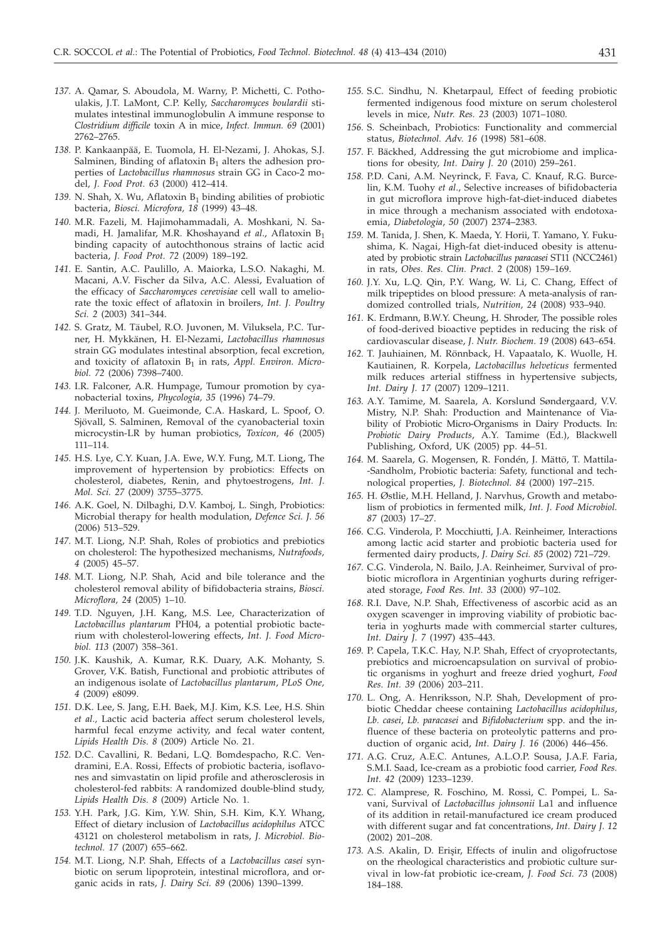- *137.* A. Qamar, S. Aboudola, M. Warny, P. Michetti, C. Pothoulakis, J.T. LaMont, C.P. Kelly, *Saccharomyces boulardii* stimulates intestinal immunoglobulin A immune response to *Clostridium difficile* toxin A in mice, *Infect. Immun. 69* (2001) 2762–2765.
- *138.* P. Kankaanpää, E. Tuomola, H. El-Nezami, J. Ahokas, S.J. Salminen, Binding of aflatoxin  $B_1$  alters the adhesion properties of *Lactobacillus rhamnosus* strain GG in Caco-2 model, *J. Food Prot. 63* (2000) 412–414.
- 139. N. Shah, X. Wu, Aflatoxin  $B_1$  binding abilities of probiotic bacteria, *Biosci. Microfora, 18* (1999) 43–48.
- *140.* M.R. Fazeli, M. Hajimohammadali, A. Moshkani, N. Samadi, H. Jamalifar, M.R. Khoshayand *et al*., Aflatoxin B1 binding capacity of autochthonous strains of lactic acid bacteria, *J. Food Prot. 72* (2009) 189–192.
- *141.* E. Santin, A.C. Paulillo, A. Maiorka, L.S.O. Nakaghi, M. Macani, A.V. Fischer da Silva, A.C. Alessi, Evaluation of the efficacy of *Saccharomyces cerevisiae* cell wall to ameliorate the toxic effect of aflatoxin in broilers, *Int. J. Poultry Sci. 2* (2003) 341–344.
- *142.* S. Gratz, M. Täubel, R.O. Juvonen, M. Viluksela, P.C. Turner, H. Mykkänen, H. El-Nezami, *Lactobacillus rhamnosus* strain GG modulates intestinal absorption, fecal excretion, and toxicity of aflatoxin B<sub>1</sub> in rats, Appl. Environ. Micro*biol. 72* (2006) 7398–7400.
- *143.* I.R. Falconer, A.R. Humpage, Tumour promotion by cyanobacterial toxins, *Phycologia, 35* (1996) 74–79.
- *144.* J. Meriluoto, M. Gueimonde, C.A. Haskard, L. Spoof, O. Sjövall, S. Salminen, Removal of the cyanobacterial toxin microcystin-LR by human probiotics, *Toxicon, 46* (2005) 111–114.
- *145.* H.S. Lye, C.Y. Kuan, J.A. Ewe, W.Y. Fung, M.T. Liong, The improvement of hypertension by probiotics: Effects on cholesterol, diabetes, Renin, and phytoestrogens, *Int. J. Mol. Sci. 27* (2009) 3755–3775.
- *146.* A.K. Goel, N. Dilbaghi, D.V. Kamboj, L. Singh, Probiotics: Microbial therapy for health modulation, *Defence Sci. J. 56* (2006) 513–529.
- *147.* M.T. Liong, N.P. Shah, Roles of probiotics and prebiotics on cholesterol: The hypothesized mechanisms, *Nutrafoods, 4* (2005) 45–57.
- *148.* M.T. Liong, N.P. Shah, Acid and bile tolerance and the cholesterol removal ability of bifidobacteria strains, *Biosci. Microflora, 24* (2005) 1–10.
- *149.* T.D. Nguyen, J.H. Kang, M.S. Lee, Characterization of *Lactobacillus plantarum* PH04, a potential probiotic bacterium with cholesterol-lowering effects, *Int. J. Food Microbiol. 113* (2007) 358–361.
- *150.* J.K. Kaushik, A. Kumar, R.K. Duary, A.K. Mohanty, S. Grover, V.K. Batish, Functional and probiotic attributes of an indigenous isolate of *Lactobacillus plantarum*, *PLoS One, 4* (2009) e8099.
- *151.* D.K. Lee, S. Jang, E.H. Baek, M.J. Kim, K.S. Lee, H.S. Shin *et al.,* Lactic acid bacteria affect serum cholesterol levels, harmful fecal enzyme activity, and fecal water content, *Lipids Health Dis. 8* (2009) Article No. 21.
- *152.* D.C. Cavallini, R. Bedani, L.Q. Bomdespacho, R.C. Vendramini, E.A. Rossi, Effects of probiotic bacteria, isoflavones and simvastatin on lipid profile and atherosclerosis in cholesterol-fed rabbits: A randomized double-blind study, *Lipids Health Dis. 8* (2009) Article No. 1.
- *153.* Y.H. Park, J.G. Kim, Y.W. Shin, S.H. Kim, K.Y. Whang, Effect of dietary inclusion of *Lactobacillus acidophilus* ATCC 43121 on cholesterol metabolism in rats, *J. Microbiol. Biotechnol. 17* (2007) 655–662.
- *154.* M.T. Liong, N.P. Shah, Effects of a *Lactobacillus casei* synbiotic on serum lipoprotein, intestinal microflora, and organic acids in rats, *J. Dairy Sci. 89* (2006) 1390–1399.
- *155.* S.C. Sindhu, N. Khetarpaul, Effect of feeding probiotic fermented indigenous food mixture on serum cholesterol levels in mice, *Nutr. Res. 23* (2003) 1071–1080.
- *156.* S. Scheinbach, Probiotics: Functionality and commercial status, *Biotechnol. Ad*v. *16* (1998) 581–608.
- *157.* F. Bäckhed, Addressing the gut microbiome and implications for obesity, *Int. Dairy J. 20* (2010) 259–261.
- *158.* P.D. Cani, A.M. Neyrinck, F. Fava, C. Knauf, R.G. Burcelin, K.M. Tuohy *et al*., Selective increases of bifidobacteria in gut microflora improve high-fat-diet-induced diabetes in mice through a mechanism associated with endotoxaemia, *Diabetologia*, *50* (2007) 2374–2383.
- *159.* M. Tanida, J. Shen, K. Maeda, Y. Horii, T. Yamano, Y. Fukushima, K. Nagai, High-fat diet-induced obesity is attenuated by probiotic strain *Lactobacillus paracasei* ST11 (NCC2461) in rats, *Obes. Res. Clin. Pract. 2* (2008) 159–169.
- *160.* J.Y. Xu, L.Q. Qin, P.Y. Wang, W. Li, C. Chang, Effect of milk tripeptides on blood pressure: A meta-analysis of randomized controlled trials, *Nutrition, 24* (2008) 933–940.
- *161.* K. Erdmann, B.W.Y. Cheung, H. Shroder, The possible roles of food-derived bioactive peptides in reducing the risk of cardiovascular disease, *J. Nutr. Biochem. 19* (2008) 643–654.
- *162.* T. Jauhiainen, M. Rönnback, H. Vapaatalo, K. Wuolle, H. Kautiainen, R. Korpela, *Lactobacillus helveticus* fermented milk reduces arterial stiffness in hypertensive subjects, *Int. Dairy J. 17* (2007) 1209–1211.
- *163.* A.Y. Tamime, M. Saarela, A. Korslund Søndergaard, V.V. Mistry, N.P. Shah: Production and Maintenance of Viability of Probiotic Micro-Organisms in Dairy Products. In: *Probiotic Dairy Products*, A.Y. Tamime (Ed.), Blackwell Publishing, Oxford, UK (2005) pp. 44–51.
- *164.* M. Saarela, G. Mogensen, R. Fondén, J. Mättö, T. Mattila- -Sandholm, Probiotic bacteria: Safety, functional and technological properties, *J. Biotechnol. 84* (2000) 197–215.
- *165.* H. Østlie, M.H. Helland, J. Narvhus, Growth and metabolism of probiotics in fermented milk, *Int. J. Food Microbiol. 87* (2003) 17–27.
- *166.* C.G. Vinderola, P. Mocchiutti, J.A. Reinheimer, Interactions among lactic acid starter and probiotic bacteria used for fermented dairy products, *J. Dairy Sci. 85* (2002) 721–729.
- *167.* C.G. Vinderola, N. Bailo, J.A. Reinheimer, Survival of probiotic microflora in Argentinian yoghurts during refrigerated storage, *Food Res. Int. 33* (2000) 97–102.
- *168.* R.I. Dave, N.P. Shah, Effectiveness of ascorbic acid as an oxygen scavenger in improving viability of probiotic bacteria in yoghurts made with commercial starter cultures, *Int. Dairy J. 7* (1997) 435–443.
- *169.* P. Capela, T.K.C. Hay, N.P. Shah, Effect of cryoprotectants, prebiotics and microencapsulation on survival of probiotic organisms in yoghurt and freeze dried yoghurt, *Food Res. Int. 39* (2006) 203–211.
- *170.* L. Ong, A. Henriksson, N.P. Shah, Development of probiotic Cheddar cheese containing *Lactobacillus acidophilus*, *Lb. casei*, *Lb. paracasei* and *Bifidobacterium* spp. and the influence of these bacteria on proteolytic patterns and production of organic acid, *Int. Dairy J. 16* (2006) 446–456.
- *171.* A.G. Cruz, A.E.C. Antunes, A.L.O.P. Sousa, J.A.F. Faria, S.M.I. Saad, Ice-cream as a probiotic food carrier, *Food Res. Int. 42* (2009) 1233–1239.
- *172.* C. Alamprese, R. Foschino, M. Rossi, C. Pompei, L. Savani, Survival of *Lactobacillus johnsonii* La1 and influence of its addition in retail-manufactured ice cream produced with different sugar and fat concentrations, *Int. Dairy J. 12* (2002) 201–208.
- 173. A.S. Akalin, D. Erişir, Effects of inulin and oligofructose on the rheological characteristics and probiotic culture survival in low-fat probiotic ice-cream, *J. Food Sci. 73* (2008) 184–188.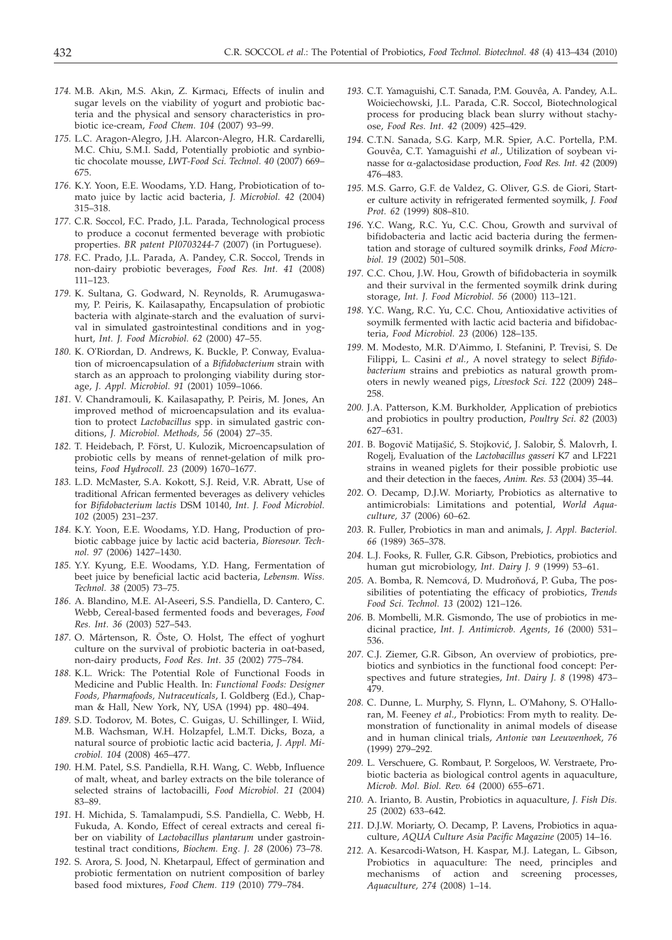- 174. M.B. Akın, M.S. Akın, Z. Kırmacı, Effects of inulin and sugar levels on the viability of yogurt and probiotic bacteria and the physical and sensory characteristics in probiotic ice-cream, *Food Chem. 104* (2007) 93–99.
- *175.* L.C. Aragon-Alegro, J.H. Alarcon-Alegro, H.R. Cardarelli, M.C. Chiu, S.M.I. Sadd, Potentially probiotic and synbiotic chocolate mousse, *LWT-Food Sci. Technol. 40* (2007) 669– 675.
- *176.* K.Y. Yoon, E.E. Woodams, Y.D. Hang, Probiotication of tomato juice by lactic acid bacteria, *J. Microbiol. 42* (2004) 315–318.
- *177.* C.R. Soccol, F.C. Prado, J.L. Parada, Technological process to produce a coconut fermented beverage with probiotic properties. *BR patent PI0703244-7* (2007) (in Portuguese).
- *178.* F.C. Prado, J.L. Parada, A. Pandey, C.R. Soccol, Trends in non-dairy probiotic beverages, *Food Res. Int. 41* (2008) 111–123.
- *179.* K. Sultana, G. Godward, N. Reynolds, R. Arumugaswamy, P. Peiris, K. Kailasapathy, Encapsulation of probiotic bacteria with alginate-starch and the evaluation of survival in simulated gastrointestinal conditions and in yoghurt, *Int. J. Food Microbiol. 62* (2000) 47–55.
- *180.* K. O'Riordan, D. Andrews, K. Buckle, P. Conway, Evaluation of microencapsulation of a *Bifidobacterium* strain with starch as an approach to prolonging viability during storage, *J. Appl. Microbiol. 91* (2001) 1059–1066.
- *181.* V. Chandramouli, K. Kailasapathy, P. Peiris, M. Jones, An improved method of microencapsulation and its evaluation to protect *Lactobacillus* spp. in simulated gastric conditions, *J. Microbiol. Methods, 56* (2004) 27–35.
- *182.* T. Heidebach, P. Först, U. Kulozik, Microencapsulation of probiotic cells by means of rennet-gelation of milk proteins, *Food Hydrocoll. 23* (2009) 1670–1677.
- *183.* L.D. McMaster, S.A. Kokott, S.J. Reid, V.R. Abratt, Use of traditional African fermented beverages as delivery vehicles for *Bifidobacterium lactis* DSM 10140, *Int. J. Food Microbiol. 102* (2005) 231–237.
- *184.* K.Y. Yoon, E.E. Woodams, Y.D. Hang, Production of probiotic cabbage juice by lactic acid bacteria, *Bioresour. Technol. 97* (2006) 1427–1430.
- *185.* Y.Y. Kyung, E.E. Woodams, Y.D. Hang, Fermentation of beet juice by beneficial lactic acid bacteria, *Lebensm. Wiss. Technol. 38* (2005) 73–75.
- *186.* A. Blandino, M.E. Al-Aseeri, S.S. Pandiella, D. Cantero, C. Webb, Cereal-based fermented foods and beverages, *Food Res. Int. 36* (2003) 527–543.
- *187.* O. Mårtenson, R. Öste, O. Holst, The effect of yoghurt culture on the survival of probiotic bacteria in oat-based, non-dairy products, *Food Res. Int. 35* (2002) 775–784.
- *188.* K.L. Wrick: The Potential Role of Functional Foods in Medicine and Public Health. In: *Functional Foods: Designer Foods, Pharmafoods, Nutraceuticals*, I. Goldberg (Ed.), Chapman & Hall, New York, NY, USA (1994) pp. 480–494.
- *189.* S.D. Todorov, M. Botes, C. Guigas, U. Schillinger, I. Wiid, M.B. Wachsman, W.H. Holzapfel, L.M.T. Dicks, Boza, a natural source of probiotic lactic acid bacteria, *J. Appl. Microbiol. 104* (2008) 465–477.
- *190.* H.M. Patel, S.S. Pandiella, R.H. Wang, C. Webb, Influence of malt, wheat, and barley extracts on the bile tolerance of selected strains of lactobacilli, *Food Microbiol. 21* (2004) 83–89.
- *191.* H. Michida, S. Tamalampudi, S.S. Pandiella, C. Webb, H. Fukuda, A. Kondo, Effect of cereal extracts and cereal fiber on viability of *Lactobacillus plantarum* under gastrointestinal tract conditions, *Biochem. Eng. J. 28* (2006) 73–78.
- *192.* S. Arora, S. Jood, N. Khetarpaul, Effect of germination and probiotic fermentation on nutrient composition of barley based food mixtures, *Food Chem. 119* (2010) 779–784.
- *193.* C.T. Yamaguishi, C.T. Sanada, P.M. Gouvêa, A. Pandey, A.L. Woiciechowski, J.L. Parada, C.R. Soccol, Biotechnological process for producing black bean slurry without stachyose, *Food Res. Int. 42* (2009) 425–429.
- *194.* C.T.N. Sanada, S.G. Karp, M.R. Spier, A.C. Portella, P.M. Gouvêa, C.T. Yamaguishi *et al.*, Utilization of soybean vinasse for a-galactosidase production, *Food Res. Int. 42* (2009) 476–483.
- *195.* M.S. Garro, G.F. de Valdez, G. Oliver, G.S. de Giori, Starter culture activity in refrigerated fermented soymilk, *J. Food Prot. 62* (1999) 808–810.
- *196.* Y.C. Wang, R.C. Yu, C.C. Chou, Growth and survival of bifidobacteria and lactic acid bacteria during the fermentation and storage of cultured soymilk drinks, *Food Microbiol. 19* (2002) 501–508.
- *197.* C.C. Chou, J.W. Hou, Growth of bifidobacteria in soymilk and their survival in the fermented soymilk drink during storage, *Int. J. Food Microbiol. 56* (2000) 113–121.
- *198.* Y.C. Wang, R.C. Yu, C.C. Chou, Antioxidative activities of soymilk fermented with lactic acid bacteria and bifidobacteria, *Food Microbiol. 23* (2006) 128–135.
- *199.* M. Modesto, M.R. D'Aimmo, I. Stefanini, P. Trevisi, S. De Filippi, L. Casini *et al.*, A novel strategy to select *Bifidobacterium* strains and prebiotics as natural growth promoters in newly weaned pigs, *Livestock Sci. 122* (2009) 248– 258.
- *200.* J.A. Patterson, K.M. Burkholder, Application of prebiotics and probiotics in poultry production, *Poultry Sci*. *82* (2003) 627–631.
- 201. B. Bogovič Matijašić, S. Stojković, J. Salobir, Š. Malovrh, I. Rogelj, Evaluation of the *Lactobacillus gasseri* K7 and LF221 strains in weaned piglets for their possible probiotic use and their detection in the faeces, *Anim. Res. 53* (2004) 35–44.
- *202.* O. Decamp, D.J.W. Moriarty, Probiotics as alternative to antimicrobials: Limitations and potential, *World Aquaculture, 37* (2006) 60–62.
- *203.* R. Fuller, Probiotics in man and animals, *J. Appl. Bacteriol. 66* (1989) 365–378.
- *204.* L.J. Fooks, R. Fuller, G.R. Gibson, Prebiotics, probiotics and human gut microbiology, *Int. Dairy J. 9* (1999) 53–61.
- 205. A. Bomba, R. Nemcová, D. Mudroňová, P. Guba, The possibilities of potentiating the efficacy of probiotics, *Trends Food Sci. Technol. 13* (2002) 121–126.
- *206.* B. Mombelli, M.R. Gismondo, The use of probiotics in medicinal practice, *Int. J. Antimicrob. Agents*, *16* (2000) 531– 536.
- *207.* C.J. Ziemer, G.R. Gibson, An overview of probiotics, prebiotics and synbiotics in the functional food concept: Perspectives and future strategies, *Int. Dairy J. 8* (1998) 473– 479.
- *208.* C. Dunne, L. Murphy, S. Flynn, L. O'Mahony, S. O'Halloran, M. Feeney *et al*., Probiotics: From myth to reality. Demonstration of functionality in animal models of disease and in human clinical trials, *Antonie van Leeuwenhoek*, *76* (1999) 279–292.
- *209.* L. Verschuere, G. Rombaut, P. Sorgeloos, W. Verstraete, Probiotic bacteria as biological control agents in aquaculture, *Microb. Mol. Biol. Rev. 64* (2000) 655–671.
- *210.* A. Irianto, B. Austin, Probiotics in aquaculture, *J. Fish Dis. 25* (2002) 633–642.
- *211.* D.J.W. Moriarty, O. Decamp, P. Lavens, Probiotics in aquaculture, *AQUA Culture Asia Pacific Magazine* (2005) 14–16.
- *212.* A. Kesarcodi-Watson, H. Kaspar, M.J. Lategan, L. Gibson, Probiotics in aquaculture: The need, principles and mechanisms of action and screening processes, *Aquaculture, 274* (2008) 1–14.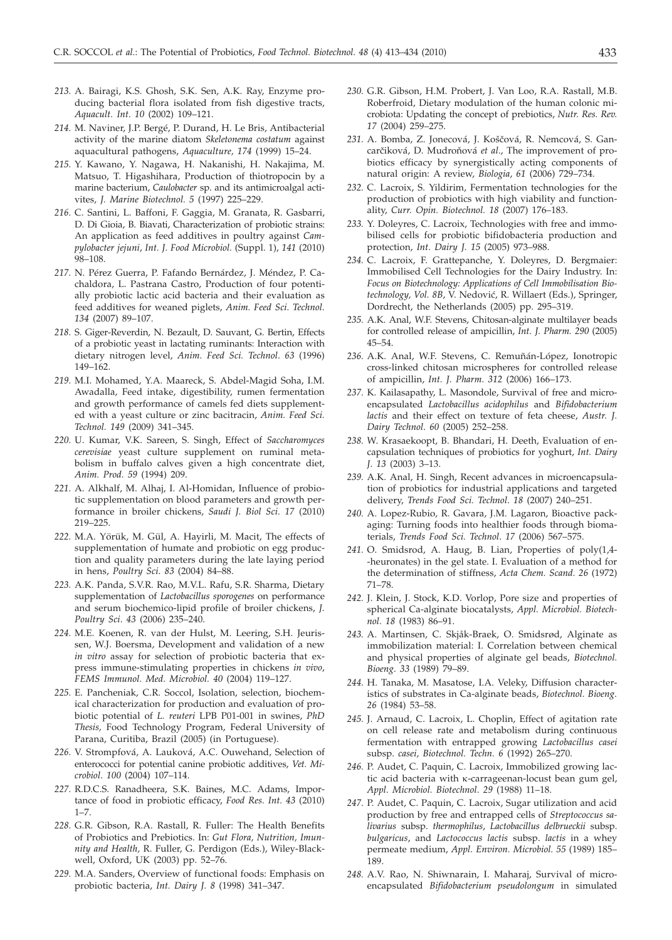- *213.* A. Bairagi, K.S. Ghosh, S.K. Sen, A.K. Ray, Enzyme producing bacterial flora isolated from fish digestive tracts, *Aquacult. Int. 10* (2002) 109–121.
- *214.* M. Naviner, J.P. Bergé, P. Durand, H. Le Bris, Antibacterial activity of the marine diatom *Skeletonema costatum* against aquacultural pathogens, *Aquaculture, 174* (1999) 15–24.
- *215.* Y. Kawano, Y. Nagawa, H. Nakanishi, H. Nakajima, M. Matsuo, T. Higashihara, Production of thiotropocin by a marine bacterium, *Caulobacter* sp. and its antimicroalgal activites, *J. Marine Biotechnol. 5* (1997) 225–229.
- *216.* C. Santini, L. Baffoni, F. Gaggia, M. Granata, R. Gasbarri, D. Di Gioia, B. Biavati, Characterization of probiotic strains: An application as feed additives in poultry against *Campylobacter jejuni*, *Int. J. Food Microbiol.* (Suppl. 1), *141* (2010) 98–108.
- *217.* N. Pérez Guerra, P. Fafando Bernárdez, J. Méndez, P. Cachaldora, L. Pastrana Castro, Production of four potentially probiotic lactic acid bacteria and their evaluation as feed additives for weaned piglets, *Anim. Feed Sci. Technol. 134* (2007) 89–107.
- *218.* S. Giger-Reverdin, N. Bezault, D. Sauvant, G. Bertin, Effects of a probiotic yeast in lactating ruminants: Interaction with dietary nitrogen level, *Anim. Feed Sci. Technol*. *63* (1996) 149–162.
- *219.* M.I. Mohamed, Y.A. Maareck, S. Abdel-Magid Soha, I.M. Awadalla, Feed intake, digestibility, rumen fermentation and growth performance of camels fed diets supplemented with a yeast culture or zinc bacitracin, *Anim. Feed Sci. Technol. 149* (2009) 341–345.
- *220.* U. Kumar, V.K. Sareen, S. Singh, Effect of *Saccharomyces cerevisiae* yeast culture supplement on ruminal metabolism in buffalo calves given a high concentrate diet, *Anim. Prod. 59* (1994) 209.
- *221.* A. Alkhalf, M. Alhaj, I. Al-Homidan, Influence of probiotic supplementation on blood parameters and growth performance in broiler chickens, *Saudi J. Biol Sci. 17* (2010) 219–225.
- *222.* M.A. Yörük, M. Gül, A. Hayirli, M. Macit, The effects of supplementation of humate and probiotic on egg production and quality parameters during the late laying period in hens, *Poultry Sci*. *83* (2004) 84–88.
- *223.* A.K. Panda, S.V.R. Rao, M.V.L. Rafu, S.R. Sharma, Dietary supplementation of *Lactobacillus sporogenes* on performance and serum biochemico-lipid profile of broiler chickens, *J. Poultry Sci*. *43* (2006) 235–240.
- *224.* M.E. Koenen, R. van der Hulst, M. Leering, S.H. Jeurissen, W.J. Boersma, Development and validation of a new *in vitro* assay for selection of probiotic bacteria that express immune-stimulating properties in chickens *in vivo*, *FEMS Immunol. Med. Microbiol. 40* (2004) 119–127.
- *225.* E. Pancheniak, C.R. Soccol, Isolation, selection, biochemical characterization for production and evaluation of probiotic potential of *L. reuteri* LPB P01-001 in swines, *PhD Thesis,* Food Technology Program, Federal University of Parana, Curitiba, Brazil (2005) (in Portuguese).
- *226.* V. Strompfová, A. Lauková, A.C. Ouwehand, Selection of enterococci for potential canine probiotic additives, *Vet. Microbiol*. *100* (2004) 107–114.
- *227.* R.D.C.S. Ranadheera, S.K. Baines, M.C. Adams, Importance of food in probiotic efficacy, *Food Res. Int. 43* (2010)  $1 - 7$ .
- *228.* G.R. Gibson, R.A. Rastall, R. Fuller: The Health Benefits of Probiotics and Prebiotics. In: *Gut Flora, Nutrition, Imunnity and Health,* R. Fuller, G. Perdigon (Eds.), Wiley-Blackwell, Oxford, UK (2003) pp. 52–76.
- *229.* M.A. Sanders, Overview of functional foods: Emphasis on probiotic bacteria, *Int. Dairy J. 8* (1998) 341–347.
- *230.* G.R. Gibson, H.M. Probert, J. Van Loo, R.A. Rastall, M.B. Roberfroid, Dietary modulation of the human colonic microbiota: Updating the concept of prebiotics, *Nutr. Res. Rev. 17* (2004) 259–275.
- 231. A. Bomba, Z. Jonecová, J. Koščová, R. Nemcová, S. Gancarčiková, D. Mudroňová et al., The improvement of probiotics efficacy by synergistically acting components of natural origin: A review, *Biologia*, *61* (2006) 729–734.
- *232.* C. Lacroix, S. Yildirim, Fermentation technologies for the production of probiotics with high viability and functionality, *Curr. Opin. Biotechnol. 18* (2007) 176–183.
- *233.* Y. Doleyres, C. Lacroix, Technologies with free and immobilised cells for probiotic bifidobacteria production and protection, *Int. Dairy J. 15* (2005) 973–988.
- *234.* C. Lacroix, F. Grattepanche, Y. Doleyres, D. Bergmaier: Immobilised Cell Technologies for the Dairy Industry. In: *Focus on Biotechnology: Applications of Cell Immobilisation Biotechnology, Vol. 8B, V. Nedović, R. Willaert (Eds.), Springer,* Dordrecht, the Netherlands (2005) pp. 295–319.
- *235.* A.K. Anal, W.F. Stevens, Chitosan-alginate multilayer beads for controlled release of ampicillin, *Int. J. Pharm. 290* (2005) 45–54.
- *236.* A.K. Anal, W.F. Stevens, C. Remuñán-López, Ionotropic cross-linked chitosan microspheres for controlled release of ampicillin, *Int. J. Pharm. 312* (2006) 166–173.
- *237.* K. Kailasapathy, L. Masondole, Survival of free and microencapsulated *Lactobacillus acidophilus* and *Bifidobacterium lactis* and their effect on texture of feta cheese, *Austr. J. Dairy Technol*. *60* (2005) 252–258.
- *238.* W. Krasaekoopt, B. Bhandari, H. Deeth, Evaluation of encapsulation techniques of probiotics for yoghurt, *Int. Dairy J. 13* (2003) 3–13.
- *239.* A.K. Anal, H. Singh, Recent advances in microencapsulation of probiotics for industrial applications and targeted delivery, *Trends Food Sci. Technol*. *18* (2007) 240–251.
- *240.* A. Lopez-Rubio, R. Gavara, J.M. Lagaron, Bioactive packaging: Turning foods into healthier foods through biomaterials, *Trends Food Sci. Technol*. *17* (2006) 567–575.
- *241.* O. Smidsrod, A. Haug, B. Lian, Properties of poly(1,4- -heuronates) in the gel state. I. Evaluation of a method for the determination of stiffness, *Acta Chem. Scand. 26* (1972) 71–78.
- *242.* J. Klein, J. Stock, K.D. Vorlop, Pore size and properties of spherical Ca-alginate biocatalysts, *Appl. Microbiol. Biotechnol. 18* (1983) 86–91.
- *243.* A. Martinsen, C. Skjåk-Braek, O. Smidsrød, Alginate as immobilization material: I. Correlation between chemical and physical properties of alginate gel beads, *Biotechnol. Bioeng*. *33* (1989) 79–89.
- *244.* H. Tanaka, M. Masatose, I.A. Veleky, Diffusion characteristics of substrates in Ca-alginate beads, *Biotechnol. Bioeng*. *26* (1984) 53–58.
- *245.* J. Arnaud, C. Lacroix, L. Choplin, Effect of agitation rate on cell release rate and metabolism during continuous fermentation with entrapped growing *Lactobacillus casei* subsp. *casei*, *Biotechnol. Techn. 6* (1992) 265–270.
- *246.* P. Audet, C. Paquin, C. Lacroix, Immobilized growing lactic acid bacteria with k-carrageenan-locust bean gum gel, *Appl. Microbiol. Biotechnol*. *29* (1988) 11–18.
- *247.* P. Audet, C. Paquin, C. Lacroix, Sugar utilization and acid production by free and entrapped cells of *Streptococcus salivarius* subsp. *thermophilus*, *Lactobacillus delbrueckii* subsp. *bulgaricus*, and *Lactococcus lactis* subsp. *lactis* in a whey permeate medium, *Appl. Environ. Microbiol. 55* (1989) 185– 189.
- *248.* A.V. Rao, N. Shiwnarain, I. Maharaj, Survival of microencapsulated *Bifidobacterium pseudolongum* in simulated